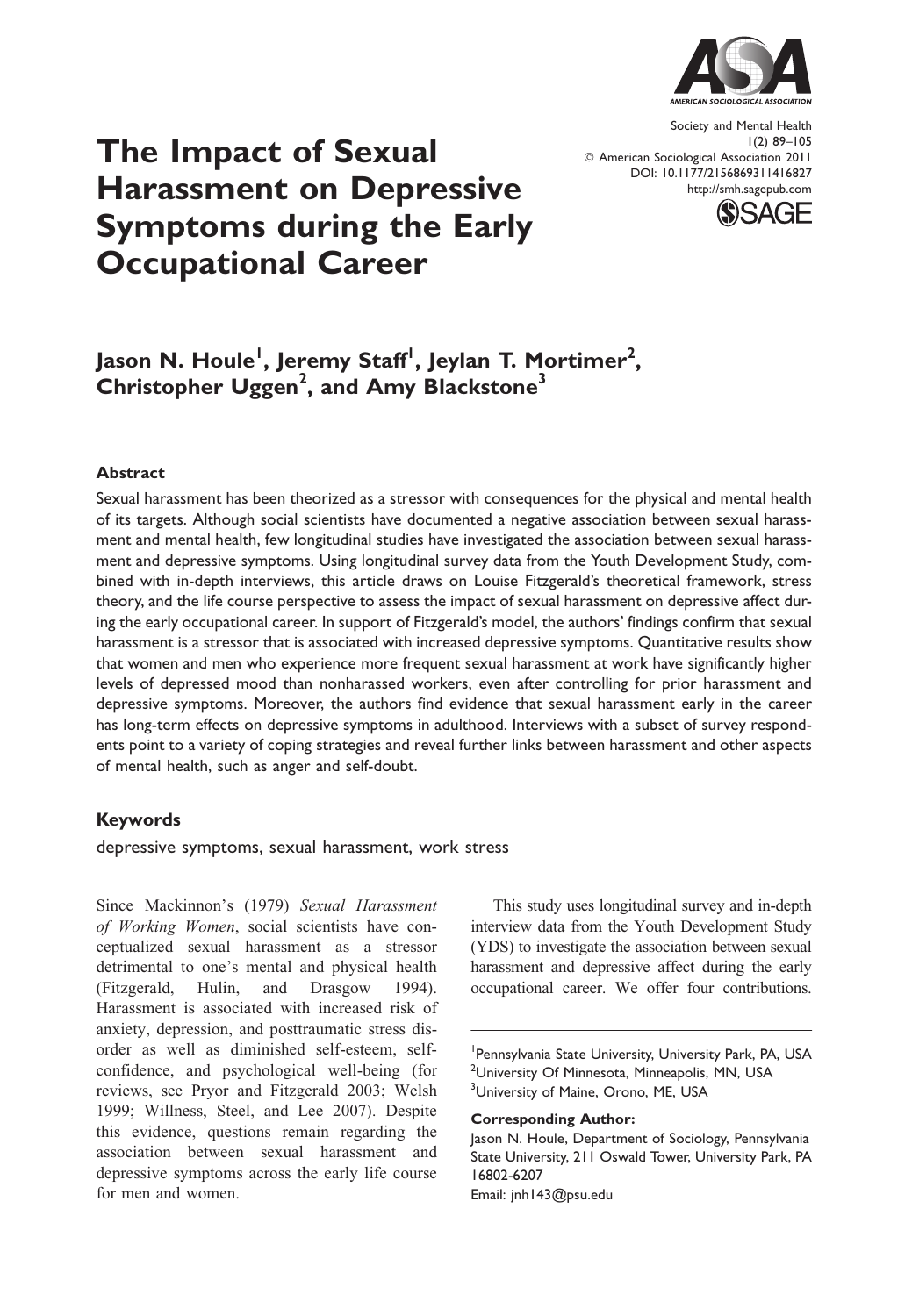

Society and Mental Health 1(2) 89–105  $\oslash$  American Sociological Association 2011 DOI: 10.1177/2156869311416827 http://smh.sagepub.com



# The Impact of Sexual Harassment on Depressive Symptoms during the Early Occupational Career

# Jason N. Houle<sup>l</sup>, Jeremy Staff<sup>l</sup>, Jeylan T. Mortimer<sup>2</sup>, Christopher Uggen<sup>2</sup>, and Amy Blackstone<sup>3</sup>

#### **Abstract**

Sexual harassment has been theorized as a stressor with consequences for the physical and mental health of its targets. Although social scientists have documented a negative association between sexual harassment and mental health, few longitudinal studies have investigated the association between sexual harassment and depressive symptoms. Using longitudinal survey data from the Youth Development Study, combined with in-depth interviews, this article draws on Louise Fitzgerald's theoretical framework, stress theory, and the life course perspective to assess the impact of sexual harassment on depressive affect during the early occupational career. In support of Fitzgerald's model, the authors' findings confirm that sexual harassment is a stressor that is associated with increased depressive symptoms. Quantitative results show that women and men who experience more frequent sexual harassment at work have significantly higher levels of depressed mood than nonharassed workers, even after controlling for prior harassment and depressive symptoms. Moreover, the authors find evidence that sexual harassment early in the career has long-term effects on depressive symptoms in adulthood. Interviews with a subset of survey respondents point to a variety of coping strategies and reveal further links between harassment and other aspects of mental health, such as anger and self-doubt.

#### Keywords

depressive symptoms, sexual harassment, work stress

Since Mackinnon's (1979) Sexual Harassment of Working Women, social scientists have conceptualized sexual harassment as a stressor detrimental to one's mental and physical health (Fitzgerald, Hulin, and Drasgow 1994). Harassment is associated with increased risk of anxiety, depression, and posttraumatic stress disorder as well as diminished self-esteem, selfconfidence, and psychological well-being (for reviews, see Pryor and Fitzgerald 2003; Welsh 1999; Willness, Steel, and Lee 2007). Despite this evidence, questions remain regarding the association between sexual harassment and depressive symptoms across the early life course for men and women.

This study uses longitudinal survey and in-depth interview data from the Youth Development Study (YDS) to investigate the association between sexual harassment and depressive affect during the early occupational career. We offer four contributions.

1 Pennsylvania State University, University Park, PA, USA <sup>2</sup>University Of Minnesota, Minneapolis, MN, USA <sup>3</sup>University of Maine, Orono, ME, USA

Corresponding Author:

Jason N. Houle, Department of Sociology, Pennsylvania State University, 211 Oswald Tower, University Park, PA 16802-6207 Email: jnh143@psu.edu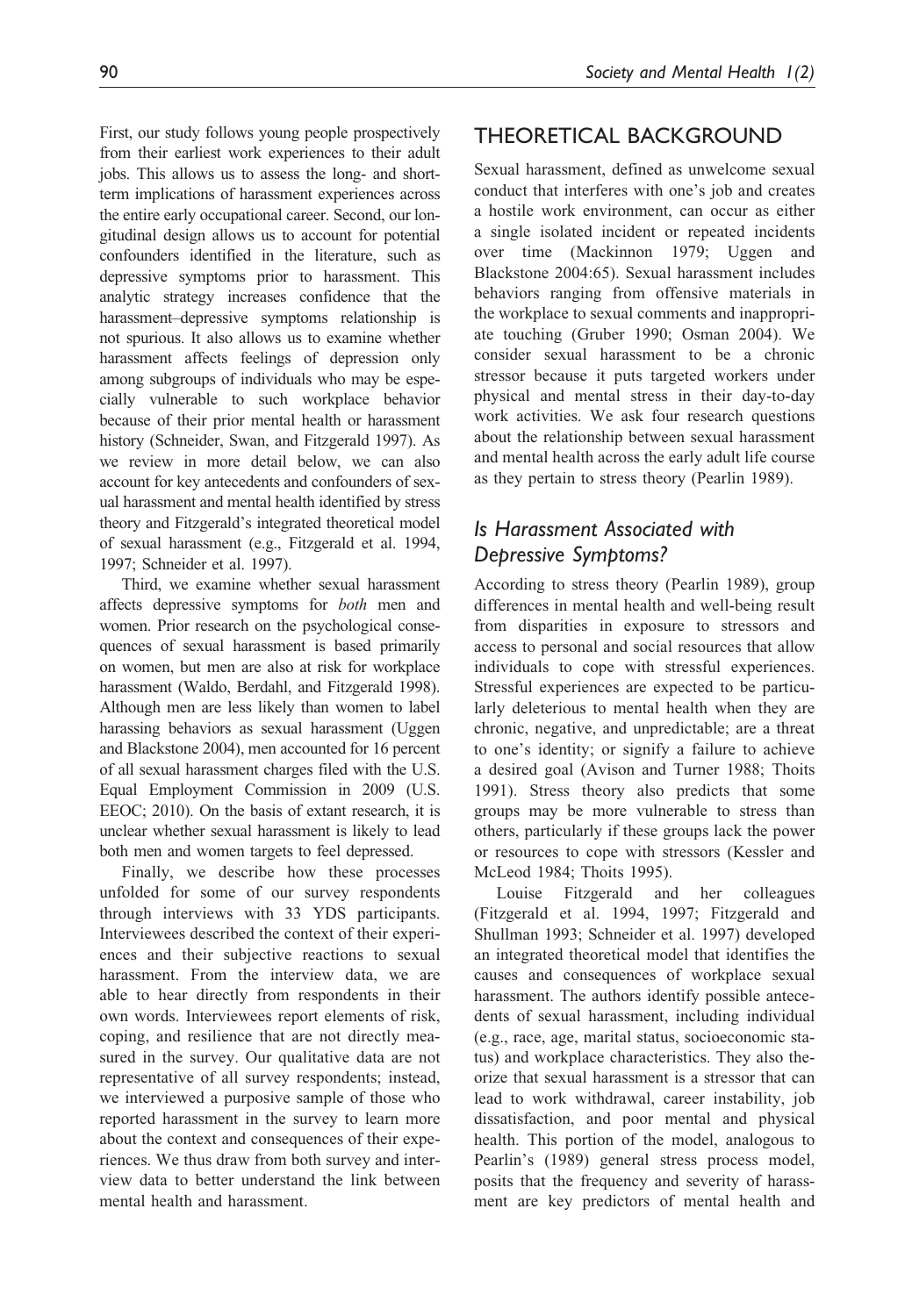First, our study follows young people prospectively from their earliest work experiences to their adult jobs. This allows us to assess the long- and shortterm implications of harassment experiences across the entire early occupational career. Second, our longitudinal design allows us to account for potential confounders identified in the literature, such as depressive symptoms prior to harassment. This analytic strategy increases confidence that the harassment–depressive symptoms relationship is not spurious. It also allows us to examine whether harassment affects feelings of depression only among subgroups of individuals who may be especially vulnerable to such workplace behavior because of their prior mental health or harassment history (Schneider, Swan, and Fitzgerald 1997). As we review in more detail below, we can also account for key antecedents and confounders of sexual harassment and mental health identified by stress theory and Fitzgerald's integrated theoretical model of sexual harassment (e.g., Fitzgerald et al. 1994, 1997; Schneider et al. 1997).

Third, we examine whether sexual harassment affects depressive symptoms for both men and women. Prior research on the psychological consequences of sexual harassment is based primarily on women, but men are also at risk for workplace harassment (Waldo, Berdahl, and Fitzgerald 1998). Although men are less likely than women to label harassing behaviors as sexual harassment (Uggen and Blackstone 2004), men accounted for 16 percent of all sexual harassment charges filed with the U.S. Equal Employment Commission in 2009 (U.S. EEOC; 2010). On the basis of extant research, it is unclear whether sexual harassment is likely to lead both men and women targets to feel depressed.

Finally, we describe how these processes unfolded for some of our survey respondents through interviews with 33 YDS participants. Interviewees described the context of their experiences and their subjective reactions to sexual harassment. From the interview data, we are able to hear directly from respondents in their own words. Interviewees report elements of risk, coping, and resilience that are not directly measured in the survey. Our qualitative data are not representative of all survey respondents; instead, we interviewed a purposive sample of those who reported harassment in the survey to learn more about the context and consequences of their experiences. We thus draw from both survey and interview data to better understand the link between mental health and harassment.

## THEORETICAL BACKGROUND

Sexual harassment, defined as unwelcome sexual conduct that interferes with one's job and creates a hostile work environment, can occur as either a single isolated incident or repeated incidents over time (Mackinnon 1979; Uggen and Blackstone 2004:65). Sexual harassment includes behaviors ranging from offensive materials in the workplace to sexual comments and inappropriate touching (Gruber 1990; Osman 2004). We consider sexual harassment to be a chronic stressor because it puts targeted workers under physical and mental stress in their day-to-day work activities. We ask four research questions about the relationship between sexual harassment and mental health across the early adult life course as they pertain to stress theory (Pearlin 1989).

# Is Harassment Associated with Depressive Symptoms?

According to stress theory (Pearlin 1989), group differences in mental health and well-being result from disparities in exposure to stressors and access to personal and social resources that allow individuals to cope with stressful experiences. Stressful experiences are expected to be particularly deleterious to mental health when they are chronic, negative, and unpredictable; are a threat to one's identity; or signify a failure to achieve a desired goal (Avison and Turner 1988; Thoits 1991). Stress theory also predicts that some groups may be more vulnerable to stress than others, particularly if these groups lack the power or resources to cope with stressors (Kessler and McLeod 1984; Thoits 1995).

Louise Fitzgerald and her colleagues (Fitzgerald et al. 1994, 1997; Fitzgerald and Shullman 1993; Schneider et al. 1997) developed an integrated theoretical model that identifies the causes and consequences of workplace sexual harassment. The authors identify possible antecedents of sexual harassment, including individual (e.g., race, age, marital status, socioeconomic status) and workplace characteristics. They also theorize that sexual harassment is a stressor that can lead to work withdrawal, career instability, job dissatisfaction, and poor mental and physical health. This portion of the model, analogous to Pearlin's (1989) general stress process model, posits that the frequency and severity of harassment are key predictors of mental health and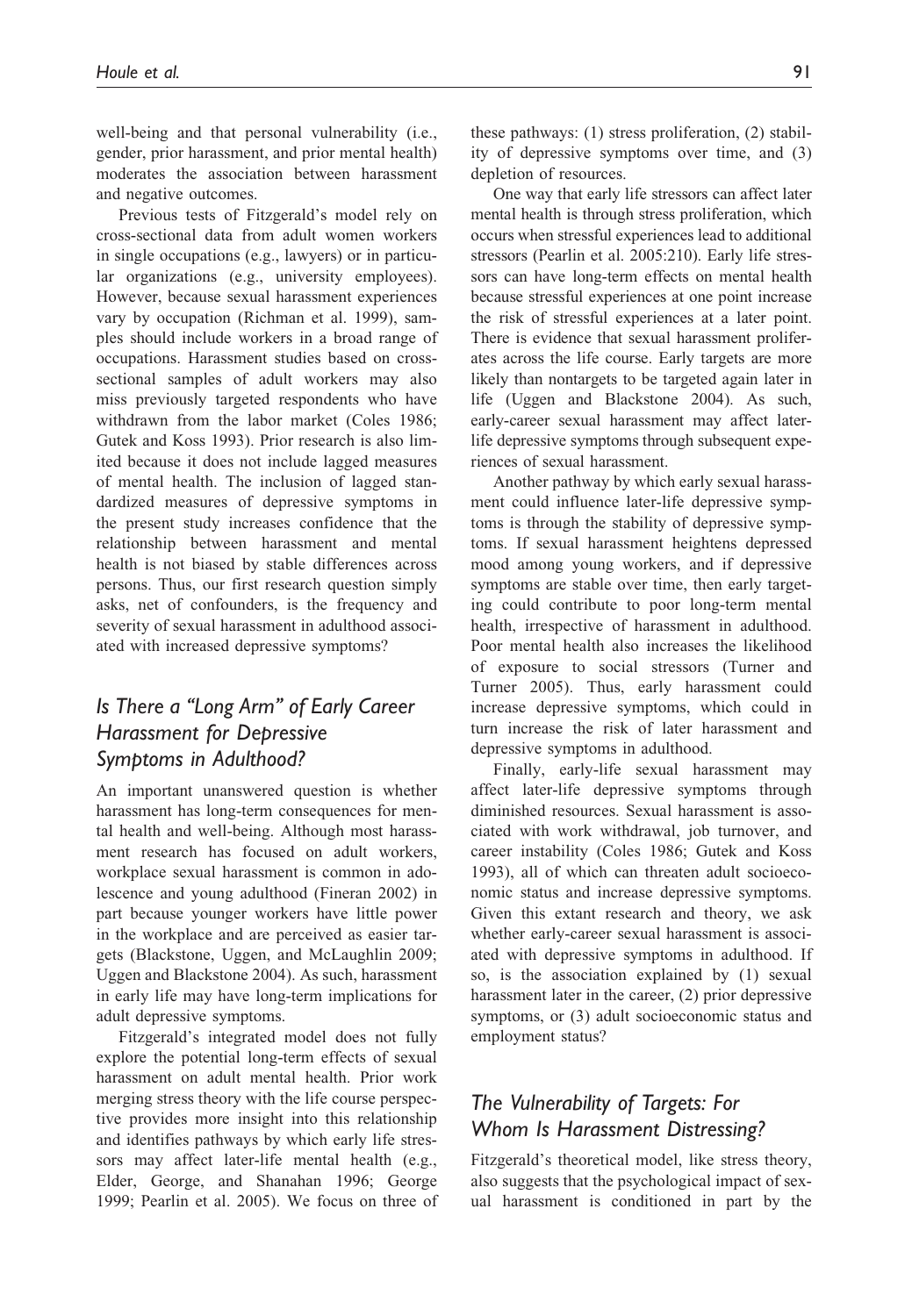well-being and that personal vulnerability (i.e., gender, prior harassment, and prior mental health) moderates the association between harassment and negative outcomes.

Previous tests of Fitzgerald's model rely on cross-sectional data from adult women workers in single occupations (e.g., lawyers) or in particular organizations (e.g., university employees). However, because sexual harassment experiences vary by occupation (Richman et al. 1999), samples should include workers in a broad range of occupations. Harassment studies based on crosssectional samples of adult workers may also miss previously targeted respondents who have withdrawn from the labor market (Coles 1986; Gutek and Koss 1993). Prior research is also limited because it does not include lagged measures of mental health. The inclusion of lagged standardized measures of depressive symptoms in the present study increases confidence that the relationship between harassment and mental health is not biased by stable differences across persons. Thus, our first research question simply asks, net of confounders, is the frequency and severity of sexual harassment in adulthood associated with increased depressive symptoms?

## Is There a ''Long Arm'' of Early Career Harassment for Depressive Symptoms in Adulthood?

An important unanswered question is whether harassment has long-term consequences for mental health and well-being. Although most harassment research has focused on adult workers, workplace sexual harassment is common in adolescence and young adulthood (Fineran 2002) in part because younger workers have little power in the workplace and are perceived as easier targets (Blackstone, Uggen, and McLaughlin 2009; Uggen and Blackstone 2004). As such, harassment in early life may have long-term implications for adult depressive symptoms.

Fitzgerald's integrated model does not fully explore the potential long-term effects of sexual harassment on adult mental health. Prior work merging stress theory with the life course perspective provides more insight into this relationship and identifies pathways by which early life stressors may affect later-life mental health (e.g., Elder, George, and Shanahan 1996; George 1999; Pearlin et al. 2005). We focus on three of these pathways: (1) stress proliferation, (2) stability of depressive symptoms over time, and (3) depletion of resources.

One way that early life stressors can affect later mental health is through stress proliferation, which occurs when stressful experiences lead to additional stressors (Pearlin et al. 2005:210). Early life stressors can have long-term effects on mental health because stressful experiences at one point increase the risk of stressful experiences at a later point. There is evidence that sexual harassment proliferates across the life course. Early targets are more likely than nontargets to be targeted again later in life (Uggen and Blackstone 2004). As such, early-career sexual harassment may affect laterlife depressive symptoms through subsequent experiences of sexual harassment.

Another pathway by which early sexual harassment could influence later-life depressive symptoms is through the stability of depressive symptoms. If sexual harassment heightens depressed mood among young workers, and if depressive symptoms are stable over time, then early targeting could contribute to poor long-term mental health, irrespective of harassment in adulthood. Poor mental health also increases the likelihood of exposure to social stressors (Turner and Turner 2005). Thus, early harassment could increase depressive symptoms, which could in turn increase the risk of later harassment and depressive symptoms in adulthood.

Finally, early-life sexual harassment may affect later-life depressive symptoms through diminished resources. Sexual harassment is associated with work withdrawal, job turnover, and career instability (Coles 1986; Gutek and Koss 1993), all of which can threaten adult socioeconomic status and increase depressive symptoms. Given this extant research and theory, we ask whether early-career sexual harassment is associated with depressive symptoms in adulthood. If so, is the association explained by (1) sexual harassment later in the career, (2) prior depressive symptoms, or (3) adult socioeconomic status and employment status?

## The Vulnerability of Targets: For Whom Is Harassment Distressing?

Fitzgerald's theoretical model, like stress theory, also suggests that the psychological impact of sexual harassment is conditioned in part by the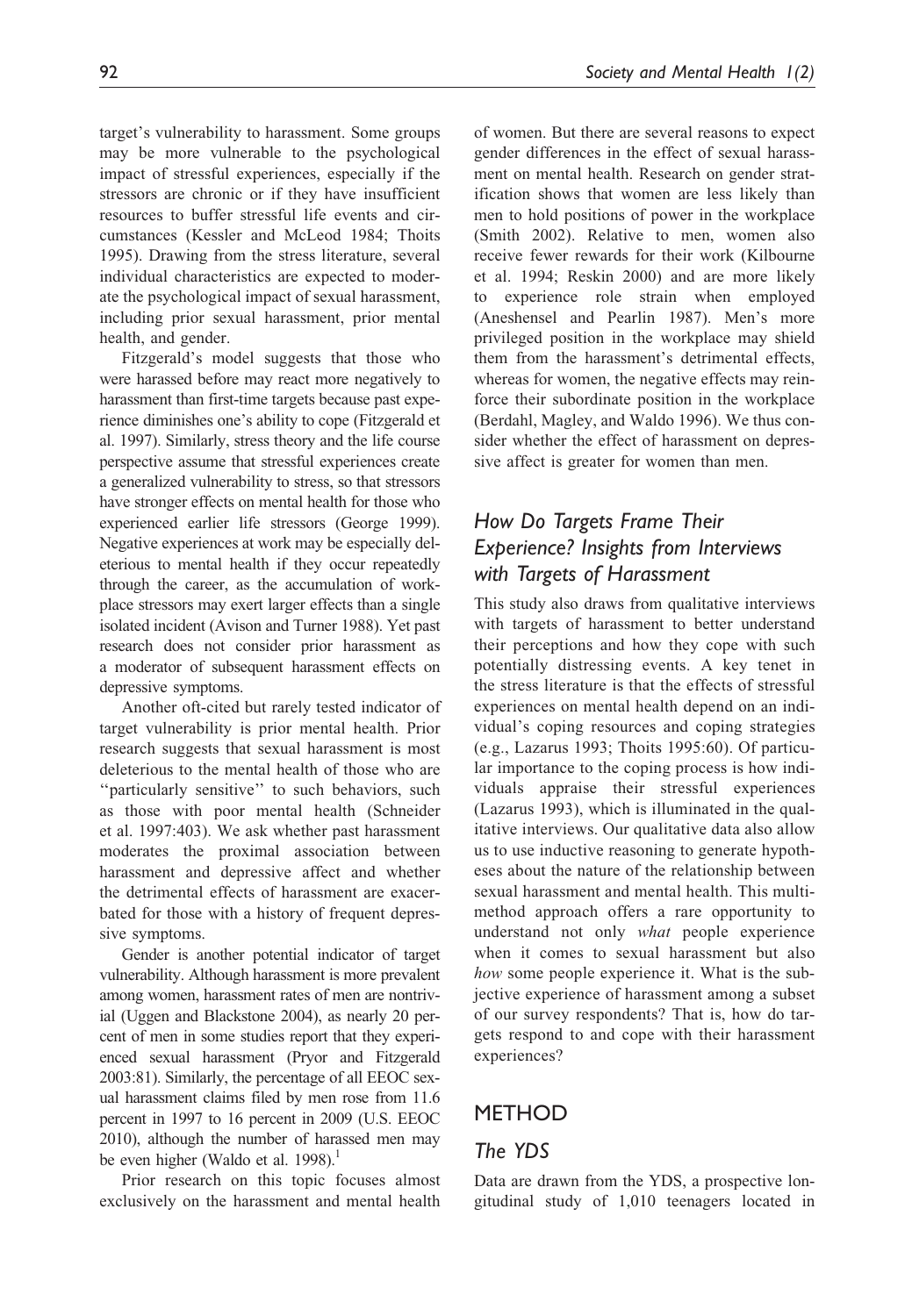target's vulnerability to harassment. Some groups may be more vulnerable to the psychological impact of stressful experiences, especially if the stressors are chronic or if they have insufficient resources to buffer stressful life events and circumstances (Kessler and McLeod 1984; Thoits 1995). Drawing from the stress literature, several individual characteristics are expected to moderate the psychological impact of sexual harassment, including prior sexual harassment, prior mental health, and gender.

Fitzgerald's model suggests that those who were harassed before may react more negatively to harassment than first-time targets because past experience diminishes one's ability to cope (Fitzgerald et al. 1997). Similarly, stress theory and the life course perspective assume that stressful experiences create a generalized vulnerability to stress, so that stressors have stronger effects on mental health for those who experienced earlier life stressors (George 1999). Negative experiences at work may be especially deleterious to mental health if they occur repeatedly through the career, as the accumulation of workplace stressors may exert larger effects than a single isolated incident (Avison and Turner 1988). Yet past research does not consider prior harassment as a moderator of subsequent harassment effects on depressive symptoms.

Another oft-cited but rarely tested indicator of target vulnerability is prior mental health. Prior research suggests that sexual harassment is most deleterious to the mental health of those who are "particularly sensitive" to such behaviors, such as those with poor mental health (Schneider et al. 1997:403). We ask whether past harassment moderates the proximal association between harassment and depressive affect and whether the detrimental effects of harassment are exacerbated for those with a history of frequent depressive symptoms.

Gender is another potential indicator of target vulnerability. Although harassment is more prevalent among women, harassment rates of men are nontrivial (Uggen and Blackstone 2004), as nearly 20 percent of men in some studies report that they experienced sexual harassment (Pryor and Fitzgerald 2003:81). Similarly, the percentage of all EEOC sexual harassment claims filed by men rose from 11.6 percent in 1997 to 16 percent in 2009 (U.S. EEOC 2010), although the number of harassed men may be even higher (Waldo et al. 1998).<sup>1</sup>

Prior research on this topic focuses almost exclusively on the harassment and mental health of women. But there are several reasons to expect gender differences in the effect of sexual harassment on mental health. Research on gender stratification shows that women are less likely than men to hold positions of power in the workplace (Smith 2002). Relative to men, women also receive fewer rewards for their work (Kilbourne et al. 1994; Reskin 2000) and are more likely to experience role strain when employed (Aneshensel and Pearlin 1987). Men's more privileged position in the workplace may shield them from the harassment's detrimental effects, whereas for women, the negative effects may reinforce their subordinate position in the workplace (Berdahl, Magley, and Waldo 1996). We thus consider whether the effect of harassment on depressive affect is greater for women than men.

## How Do Targets Frame Their Experience? Insights from Interviews with Targets of Harassment

This study also draws from qualitative interviews with targets of harassment to better understand their perceptions and how they cope with such potentially distressing events. A key tenet in the stress literature is that the effects of stressful experiences on mental health depend on an individual's coping resources and coping strategies (e.g., Lazarus 1993; Thoits 1995:60). Of particular importance to the coping process is how individuals appraise their stressful experiences (Lazarus 1993), which is illuminated in the qualitative interviews. Our qualitative data also allow us to use inductive reasoning to generate hypotheses about the nature of the relationship between sexual harassment and mental health. This multimethod approach offers a rare opportunity to understand not only what people experience when it comes to sexual harassment but also how some people experience it. What is the subjective experience of harassment among a subset of our survey respondents? That is, how do targets respond to and cope with their harassment experiences?

## **METHOD**

## The YDS

Data are drawn from the YDS, a prospective longitudinal study of 1,010 teenagers located in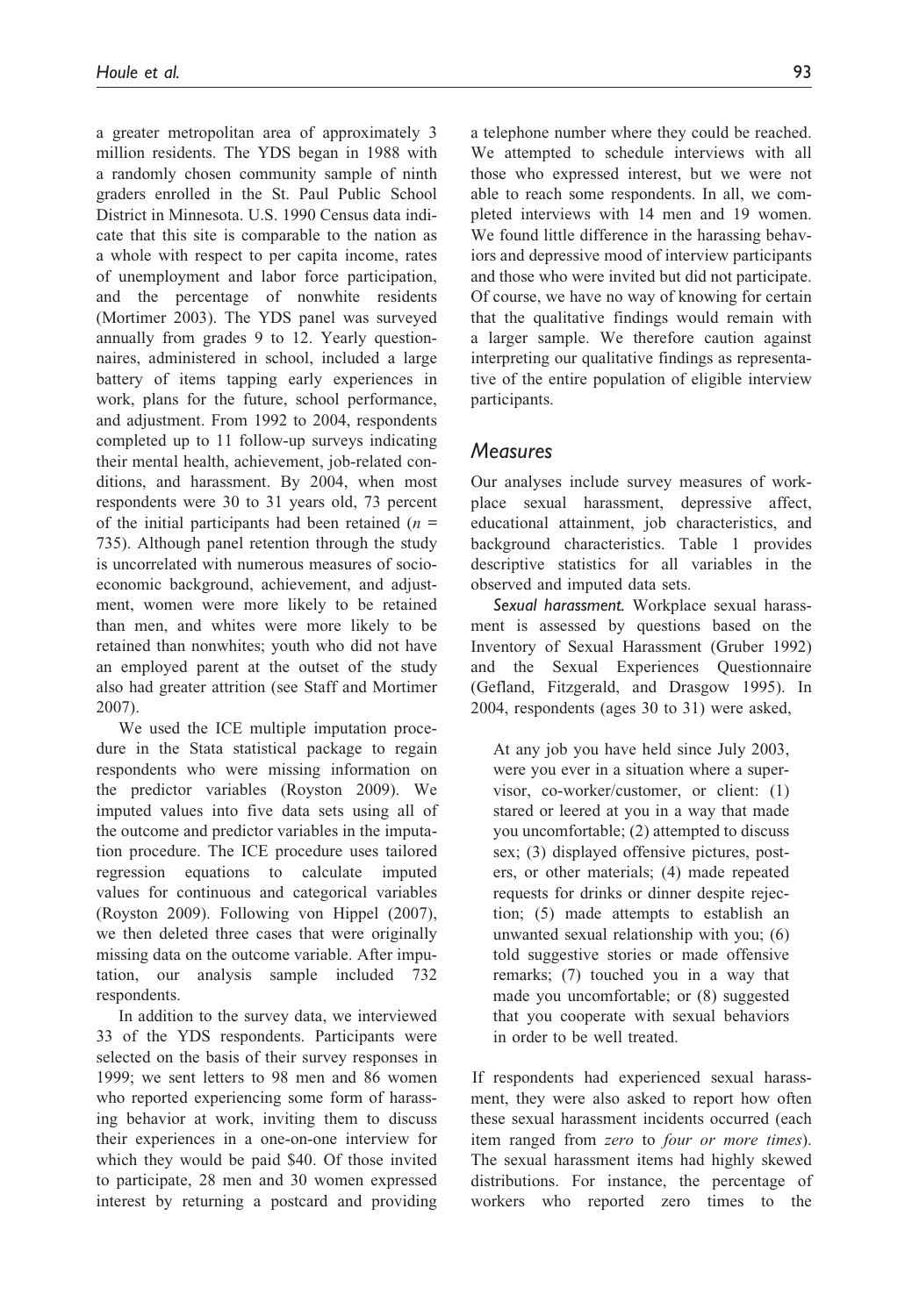a greater metropolitan area of approximately 3 million residents. The YDS began in 1988 with a randomly chosen community sample of ninth graders enrolled in the St. Paul Public School District in Minnesota. U.S. 1990 Census data indicate that this site is comparable to the nation as a whole with respect to per capita income, rates of unemployment and labor force participation, and the percentage of nonwhite residents (Mortimer 2003). The YDS panel was surveyed annually from grades 9 to 12. Yearly questionnaires, administered in school, included a large battery of items tapping early experiences in work, plans for the future, school performance, and adjustment. From 1992 to 2004, respondents completed up to 11 follow-up surveys indicating their mental health, achievement, job-related conditions, and harassment. By 2004, when most respondents were 30 to 31 years old, 73 percent of the initial participants had been retained  $(n =$ 735). Although panel retention through the study is uncorrelated with numerous measures of socioeconomic background, achievement, and adjustment, women were more likely to be retained than men, and whites were more likely to be retained than nonwhites; youth who did not have an employed parent at the outset of the study also had greater attrition (see Staff and Mortimer 2007).

We used the ICE multiple imputation procedure in the Stata statistical package to regain respondents who were missing information on the predictor variables (Royston 2009). We imputed values into five data sets using all of the outcome and predictor variables in the imputation procedure. The ICE procedure uses tailored regression equations to calculate imputed values for continuous and categorical variables (Royston 2009). Following von Hippel (2007), we then deleted three cases that were originally missing data on the outcome variable. After imputation, our analysis sample included 732 respondents.

In addition to the survey data, we interviewed 33 of the YDS respondents. Participants were selected on the basis of their survey responses in 1999; we sent letters to 98 men and 86 women who reported experiencing some form of harassing behavior at work, inviting them to discuss their experiences in a one-on-one interview for which they would be paid \$40. Of those invited to participate, 28 men and 30 women expressed interest by returning a postcard and providing a telephone number where they could be reached. We attempted to schedule interviews with all those who expressed interest, but we were not able to reach some respondents. In all, we completed interviews with 14 men and 19 women. We found little difference in the harassing behaviors and depressive mood of interview participants and those who were invited but did not participate. Of course, we have no way of knowing for certain that the qualitative findings would remain with a larger sample. We therefore caution against interpreting our qualitative findings as representative of the entire population of eligible interview participants.

#### **Measures**

Our analyses include survey measures of workplace sexual harassment, depressive affect, educational attainment, job characteristics, and background characteristics. Table 1 provides descriptive statistics for all variables in the observed and imputed data sets.

Sexual harassment. Workplace sexual harassment is assessed by questions based on the Inventory of Sexual Harassment (Gruber 1992) and the Sexual Experiences Questionnaire (Gefland, Fitzgerald, and Drasgow 1995). In 2004, respondents (ages 30 to 31) were asked,

At any job you have held since July 2003, were you ever in a situation where a supervisor, co-worker/customer, or client: (1) stared or leered at you in a way that made you uncomfortable; (2) attempted to discuss sex; (3) displayed offensive pictures, posters, or other materials; (4) made repeated requests for drinks or dinner despite rejection; (5) made attempts to establish an unwanted sexual relationship with you; (6) told suggestive stories or made offensive remarks; (7) touched you in a way that made you uncomfortable; or (8) suggested that you cooperate with sexual behaviors in order to be well treated.

If respondents had experienced sexual harassment, they were also asked to report how often these sexual harassment incidents occurred (each item ranged from zero to four or more times). The sexual harassment items had highly skewed distributions. For instance, the percentage of workers who reported zero times to the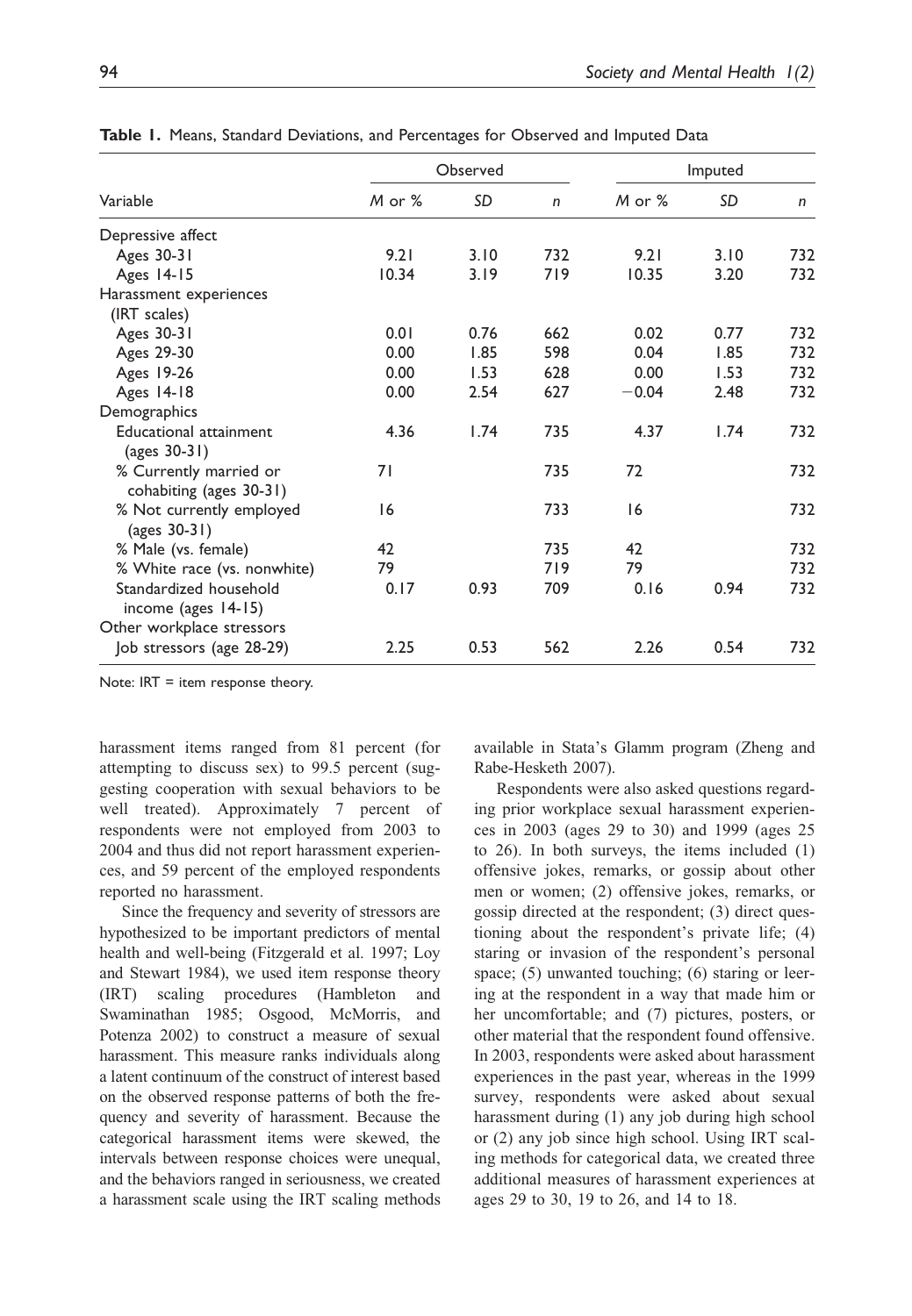|                                                   |        | Observed |     |         | Imputed |     |
|---------------------------------------------------|--------|----------|-----|---------|---------|-----|
| Variable                                          | M or % | SD       | n   | M or %  | SD      | n   |
| Depressive affect                                 |        |          |     |         |         |     |
| Ages 30-31                                        | 9.21   | 3.10     | 732 | 9.21    | 3.10    | 732 |
| Ages 14-15                                        | 10.34  | 3.19     | 719 | 10.35   | 3.20    | 732 |
| Harassment experiences                            |        |          |     |         |         |     |
| (IRT scales)                                      |        |          |     |         |         |     |
| Ages 30-31                                        | 0.01   | 0.76     | 662 | 0.02    | 0.77    | 732 |
| Ages 29-30                                        | 0.00   | 1.85     | 598 | 0.04    | 1.85    | 732 |
| Ages 19-26                                        | 0.00   | 1.53     | 628 | 0.00    | 1.53    | 732 |
| Ages 14-18                                        | 0.00   | 2.54     | 627 | $-0.04$ | 2.48    | 732 |
| Demographics                                      |        |          |     |         |         |     |
| Educational attainment<br>(ages 30-31)            | 4.36   | 1.74     | 735 | 4.37    | 1.74    | 732 |
| % Currently married or<br>cohabiting (ages 30-31) | 71     |          | 735 | 72      |         | 732 |
| % Not currently employed<br>(ages $30-31$ )       | 16     |          | 733 | 16      |         | 732 |
| % Male (vs. female)                               | 42     |          | 735 | 42      |         | 732 |
| % White race (vs. nonwhite)                       | 79     |          | 719 | 79      |         | 732 |
| Standardized household<br>income (ages $14-15$ )  | 0.17   | 0.93     | 709 | 0.16    | 0.94    | 732 |
| Other workplace stressors                         |        |          |     |         |         |     |
| Job stressors (age 28-29)                         | 2.25   | 0.53     | 562 | 2.26    | 0.54    | 732 |

Table 1. Means, Standard Deviations, and Percentages for Observed and Imputed Data

Note: IRT = item response theory.

harassment items ranged from 81 percent (for attempting to discuss sex) to 99.5 percent (suggesting cooperation with sexual behaviors to be well treated). Approximately 7 percent of respondents were not employed from 2003 to 2004 and thus did not report harassment experiences, and 59 percent of the employed respondents reported no harassment.

Since the frequency and severity of stressors are hypothesized to be important predictors of mental health and well-being (Fitzgerald et al. 1997; Loy and Stewart 1984), we used item response theory (IRT) scaling procedures (Hambleton and Swaminathan 1985; Osgood, McMorris, and Potenza 2002) to construct a measure of sexual harassment. This measure ranks individuals along a latent continuum of the construct of interest based on the observed response patterns of both the frequency and severity of harassment. Because the categorical harassment items were skewed, the intervals between response choices were unequal, and the behaviors ranged in seriousness, we created a harassment scale using the IRT scaling methods available in Stata's Glamm program (Zheng and Rabe-Hesketh 2007).

Respondents were also asked questions regarding prior workplace sexual harassment experiences in 2003 (ages 29 to 30) and 1999 (ages 25 to 26). In both surveys, the items included (1) offensive jokes, remarks, or gossip about other men or women; (2) offensive jokes, remarks, or gossip directed at the respondent; (3) direct questioning about the respondent's private life; (4) staring or invasion of the respondent's personal space; (5) unwanted touching; (6) staring or leering at the respondent in a way that made him or her uncomfortable; and (7) pictures, posters, or other material that the respondent found offensive. In 2003, respondents were asked about harassment experiences in the past year, whereas in the 1999 survey, respondents were asked about sexual harassment during (1) any job during high school or (2) any job since high school. Using IRT scaling methods for categorical data, we created three additional measures of harassment experiences at ages 29 to 30, 19 to 26, and 14 to 18.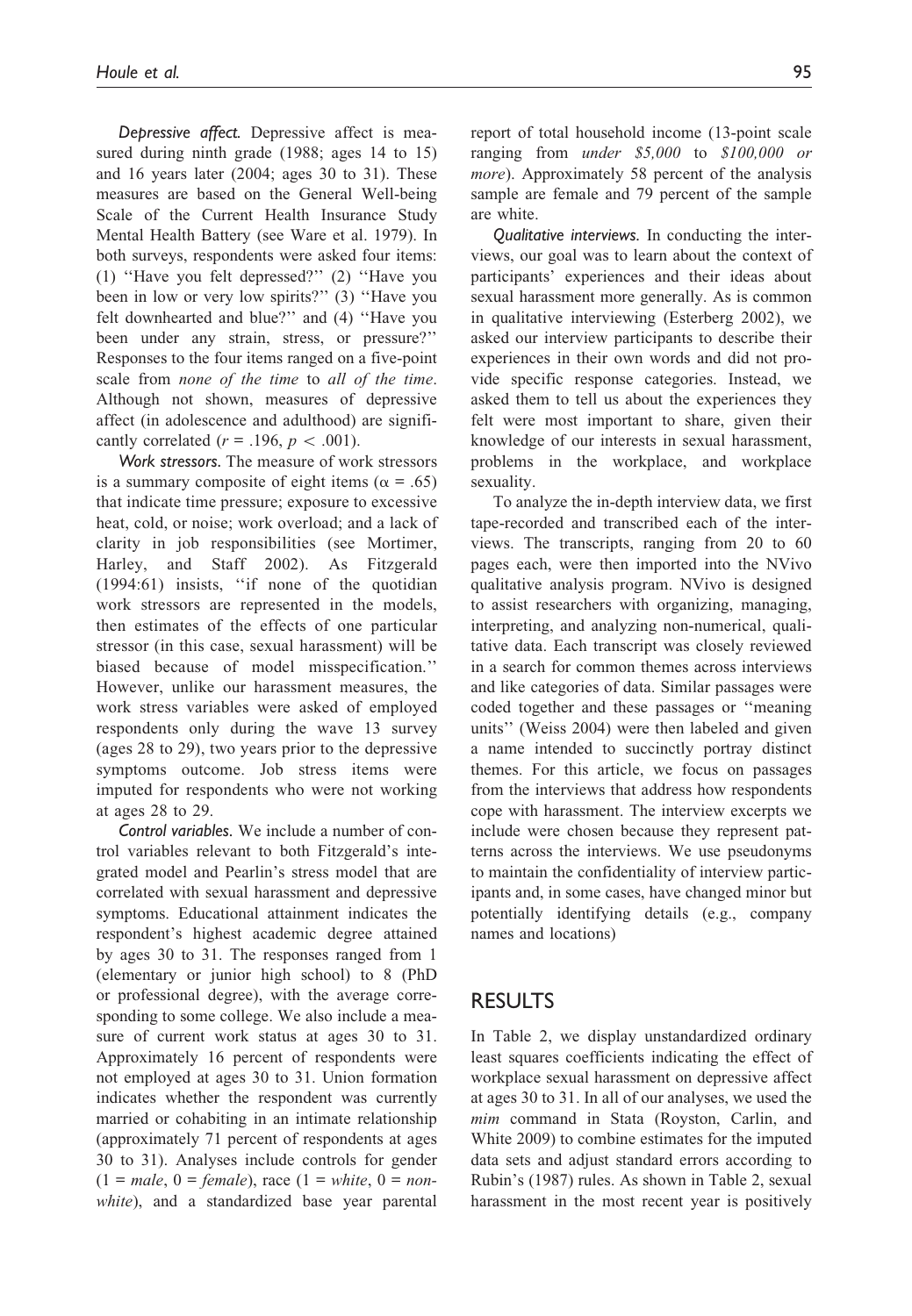Depressive affect. Depressive affect is measured during ninth grade (1988; ages 14 to 15) and 16 years later (2004; ages 30 to 31). These measures are based on the General Well-being Scale of the Current Health Insurance Study Mental Health Battery (see Ware et al. 1979). In both surveys, respondents were asked four items: (1) ''Have you felt depressed?'' (2) ''Have you been in low or very low spirits?'' (3) ''Have you felt downhearted and blue?'' and (4) ''Have you been under any strain, stress, or pressure?'' Responses to the four items ranged on a five-point scale from none of the time to all of the time. Although not shown, measures of depressive affect (in adolescence and adulthood) are significantly correlated ( $r = .196$ ,  $p < .001$ ).

Work stressors. The measure of work stressors is a summary composite of eight items ( $\alpha$  = .65) that indicate time pressure; exposure to excessive heat, cold, or noise; work overload; and a lack of clarity in job responsibilities (see Mortimer, Harley, and Staff 2002). As Fitzgerald (1994:61) insists, ''if none of the quotidian work stressors are represented in the models, then estimates of the effects of one particular stressor (in this case, sexual harassment) will be biased because of model misspecification.'' However, unlike our harassment measures, the work stress variables were asked of employed respondents only during the wave 13 survey (ages 28 to 29), two years prior to the depressive symptoms outcome. Job stress items were imputed for respondents who were not working at ages 28 to 29.

Control variables. We include a number of control variables relevant to both Fitzgerald's integrated model and Pearlin's stress model that are correlated with sexual harassment and depressive symptoms. Educational attainment indicates the respondent's highest academic degree attained by ages 30 to 31. The responses ranged from 1 (elementary or junior high school) to 8 (PhD or professional degree), with the average corresponding to some college. We also include a measure of current work status at ages 30 to 31. Approximately 16 percent of respondents were not employed at ages 30 to 31. Union formation indicates whether the respondent was currently married or cohabiting in an intimate relationship (approximately 71 percent of respondents at ages 30 to 31). Analyses include controls for gender  $(1 = male, 0 = female)$ , race  $(1 = white, 0 = non$ white), and a standardized base year parental report of total household income (13-point scale ranging from *under*  $$5,000$  to  $$100,000$  or more). Approximately 58 percent of the analysis sample are female and 79 percent of the sample are white.

Qualitative interviews. In conducting the interviews, our goal was to learn about the context of participants' experiences and their ideas about sexual harassment more generally. As is common in qualitative interviewing (Esterberg 2002), we asked our interview participants to describe their experiences in their own words and did not provide specific response categories. Instead, we asked them to tell us about the experiences they felt were most important to share, given their knowledge of our interests in sexual harassment, problems in the workplace, and workplace sexuality.

To analyze the in-depth interview data, we first tape-recorded and transcribed each of the interviews. The transcripts, ranging from 20 to 60 pages each, were then imported into the NVivo qualitative analysis program. NVivo is designed to assist researchers with organizing, managing, interpreting, and analyzing non-numerical, qualitative data. Each transcript was closely reviewed in a search for common themes across interviews and like categories of data. Similar passages were coded together and these passages or ''meaning units'' (Weiss 2004) were then labeled and given a name intended to succinctly portray distinct themes. For this article, we focus on passages from the interviews that address how respondents cope with harassment. The interview excerpts we include were chosen because they represent patterns across the interviews. We use pseudonyms to maintain the confidentiality of interview participants and, in some cases, have changed minor but potentially identifying details (e.g., company names and locations)

## RESULTS

In Table 2, we display unstandardized ordinary least squares coefficients indicating the effect of workplace sexual harassment on depressive affect at ages 30 to 31. In all of our analyses, we used the mim command in Stata (Royston, Carlin, and White 2009) to combine estimates for the imputed data sets and adjust standard errors according to Rubin's (1987) rules. As shown in Table 2, sexual harassment in the most recent year is positively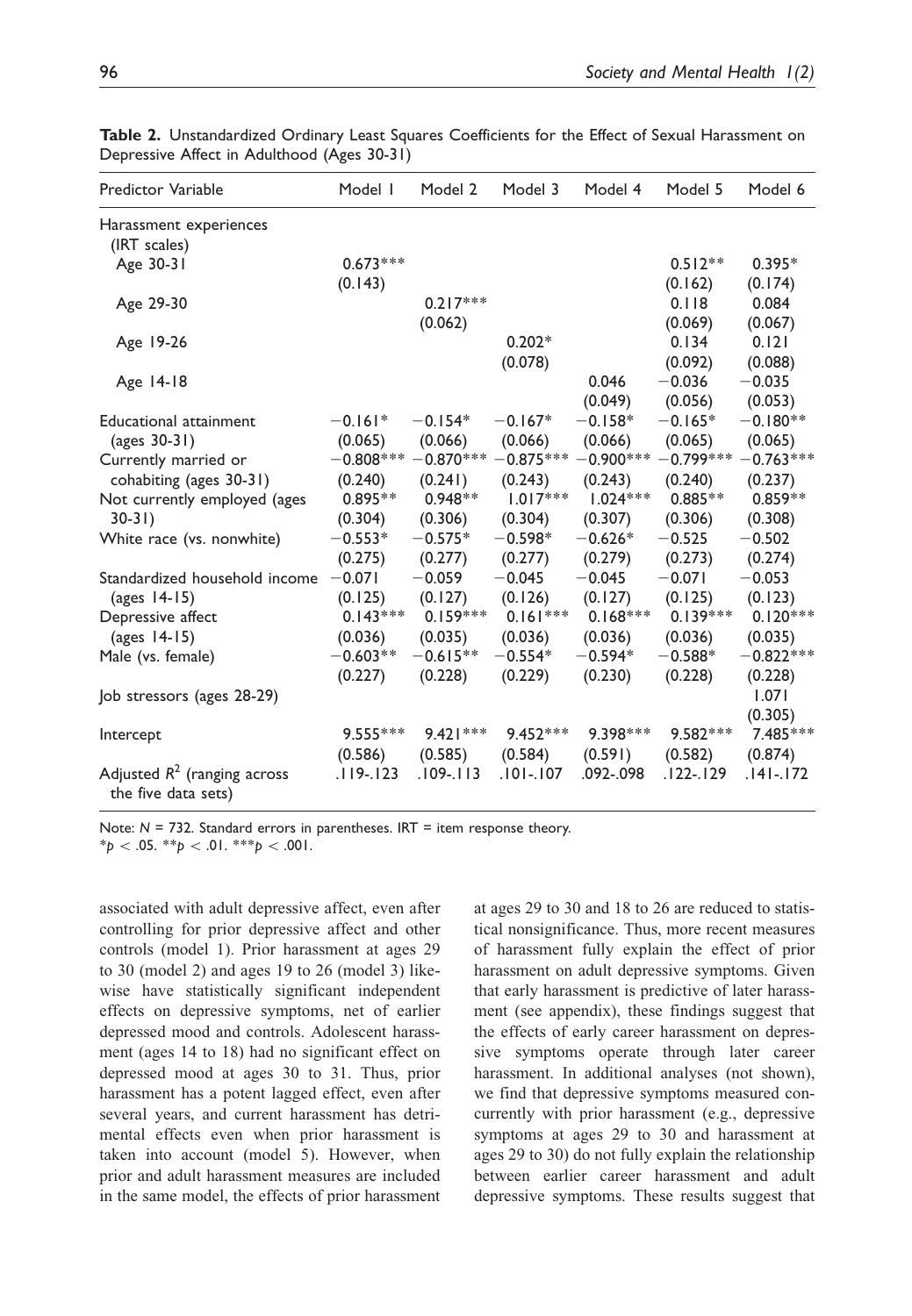| Predictor Variable                                    | Model I              | Model 2       | Model 3       | Model 4              | Model 5      | Model 6       |
|-------------------------------------------------------|----------------------|---------------|---------------|----------------------|--------------|---------------|
| Harassment experiences                                |                      |               |               |                      |              |               |
| (IRT scales)                                          |                      |               |               |                      |              |               |
| Age 30-31                                             | $0.673***$           |               |               |                      | $0.512**$    | $0.395*$      |
|                                                       | (0.143)              |               |               |                      | (0.162)      | (0.174)       |
| Age 29-30                                             |                      | $0.217***$    |               |                      | 0.118        | 0.084         |
|                                                       |                      | (0.062)       |               |                      | (0.069)      | (0.067)       |
| Age 19-26                                             |                      |               | $0.202*$      |                      | 0.134        | 0.121         |
|                                                       |                      |               | (0.078)       |                      | (0.092)      | (0.088)       |
| Age 14-18                                             |                      |               |               | 0.046                | $-0.036$     | $-0.035$      |
|                                                       |                      |               |               | (0.049)              | (0.056)      | (0.053)       |
| Educational attainment                                | $-0.161*$            | $-0.154*$     | $-0.167*$     | $-0.158*$            | $-0.165*$    | $-0.180**$    |
| (ages 30-31)                                          | (0.065)              | (0.066)       | (0.066)       | (0.066)              | (0.065)      | (0.065)       |
| Currently married or                                  | $-0.808***-0.870***$ |               |               | $-0.875***-0.900***$ | $-0.799***$  | $-0.763***$   |
| cohabiting (ages 30-31)                               | (0.240)              | (0.241)       | (0.243)       | (0.243)              | (0.240)      | (0.237)       |
| Not currently employed (ages                          | $0.895**$            | $0.948**$     | $1.017***$    | $1.024***$           | $0.885**$    | $0.859**$     |
| $30-31)$                                              | (0.304)              | (0.306)       | (0.304)       | (0.307)              | (0.306)      | (0.308)       |
| White race (vs. nonwhite)                             | $-0.553*$            | $-0.575*$     | $-0.598*$     | $-0.626*$            | $-0.525$     | $-0.502$      |
|                                                       | (0.275)              | (0.277)       | (0.277)       | (0.279)              | (0.273)      | (0.274)       |
| Standardized household income                         | $-0.071$             | $-0.059$      | $-0.045$      | $-0.045$             | $-0.071$     | $-0.053$      |
| (ages 14-15)                                          | (0.125)              | (0.127)       | (0.126)       | (0.127)              | (0.125)      | (0.123)       |
| Depressive affect                                     | $0.143***$           | $0.159***$    | $0.161***$    | $0.168***$           | $0.139***$   | $0.120***$    |
| (ages $14-15$ )                                       | (0.036)              | (0.035)       | (0.036)       | (0.036)              | (0.036)      | (0.035)       |
| Male (vs. female)                                     | $-0.603**$           | $-0.615**$    | $-0.554*$     | $-0.594*$            | $-0.588*$    | $-0.822***$   |
|                                                       | (0.227)              | (0.228)       | (0.229)       | (0.230)              | (0.228)      | (0.228)       |
| Job stressors (ages 28-29)                            |                      |               |               |                      |              | 1.071         |
|                                                       |                      |               |               |                      |              | (0.305)       |
| Intercept                                             | $9.555***$           | $9.421***$    | $9.452***$    | 9.398 ***            | 9.582 ***    | 7.485***      |
|                                                       | (0.586)              | (0.585)       | (0.584)       | (0.591)              | (0.582)      | (0.874)       |
| Adjusted $R^2$ (ranging across<br>the five data sets) | $.119 - 123$         | $.109 - .113$ | $.101 - .107$ | .092-.098            | $.122 - 129$ | $.141 - .172$ |

Table 2. Unstandardized Ordinary Least Squares Coefficients for the Effect of Sexual Harassment on Depressive Affect in Adulthood (Ages 30-31)

Note:  $N = 732$ . Standard errors in parentheses. IRT = item response theory.  $*_{\mathcal{D}}$  < .05.  $*_{\mathcal{D}}$  < .01.  $*_{\mathcal{D}}$  < .001.

associated with adult depressive affect, even after controlling for prior depressive affect and other controls (model 1). Prior harassment at ages 29 to 30 (model 2) and ages 19 to 26 (model 3) likewise have statistically significant independent effects on depressive symptoms, net of earlier depressed mood and controls. Adolescent harassment (ages 14 to 18) had no significant effect on depressed mood at ages 30 to 31. Thus, prior harassment has a potent lagged effect, even after several years, and current harassment has detrimental effects even when prior harassment is taken into account (model 5). However, when prior and adult harassment measures are included in the same model, the effects of prior harassment at ages 29 to 30 and 18 to 26 are reduced to statistical nonsignificance. Thus, more recent measures of harassment fully explain the effect of prior harassment on adult depressive symptoms. Given that early harassment is predictive of later harassment (see appendix), these findings suggest that the effects of early career harassment on depressive symptoms operate through later career harassment. In additional analyses (not shown), we find that depressive symptoms measured concurrently with prior harassment (e.g., depressive symptoms at ages 29 to 30 and harassment at ages 29 to 30) do not fully explain the relationship between earlier career harassment and adult depressive symptoms. These results suggest that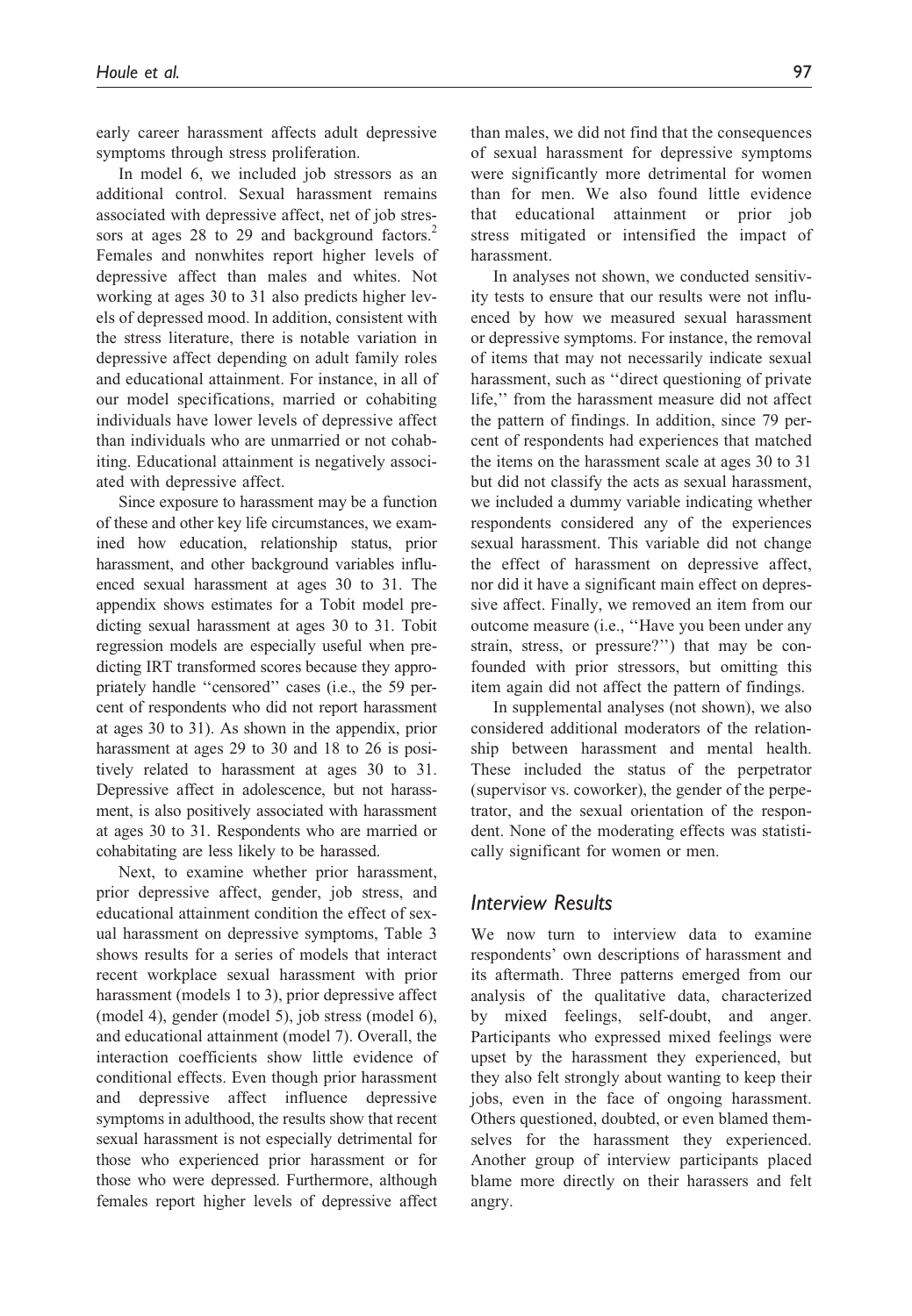early career harassment affects adult depressive symptoms through stress proliferation.

In model 6, we included job stressors as an additional control. Sexual harassment remains associated with depressive affect, net of job stressors at ages 28 to 29 and background factors.<sup>2</sup> Females and nonwhites report higher levels of depressive affect than males and whites. Not working at ages 30 to 31 also predicts higher levels of depressed mood. In addition, consistent with the stress literature, there is notable variation in depressive affect depending on adult family roles and educational attainment. For instance, in all of our model specifications, married or cohabiting individuals have lower levels of depressive affect than individuals who are unmarried or not cohabiting. Educational attainment is negatively associated with depressive affect.

Since exposure to harassment may be a function of these and other key life circumstances, we examined how education, relationship status, prior harassment, and other background variables influenced sexual harassment at ages 30 to 31. The appendix shows estimates for a Tobit model predicting sexual harassment at ages 30 to 31. Tobit regression models are especially useful when predicting IRT transformed scores because they appropriately handle ''censored'' cases (i.e., the 59 percent of respondents who did not report harassment at ages 30 to 31). As shown in the appendix, prior harassment at ages 29 to 30 and 18 to 26 is positively related to harassment at ages 30 to 31. Depressive affect in adolescence, but not harassment, is also positively associated with harassment at ages 30 to 31. Respondents who are married or cohabitating are less likely to be harassed.

Next, to examine whether prior harassment, prior depressive affect, gender, job stress, and educational attainment condition the effect of sexual harassment on depressive symptoms, Table 3 shows results for a series of models that interact recent workplace sexual harassment with prior harassment (models 1 to 3), prior depressive affect (model 4), gender (model 5), job stress (model 6), and educational attainment (model 7). Overall, the interaction coefficients show little evidence of conditional effects. Even though prior harassment and depressive affect influence depressive symptoms in adulthood, the results show that recent sexual harassment is not especially detrimental for those who experienced prior harassment or for those who were depressed. Furthermore, although females report higher levels of depressive affect than males, we did not find that the consequences of sexual harassment for depressive symptoms were significantly more detrimental for women than for men. We also found little evidence that educational attainment or prior job stress mitigated or intensified the impact of harassment.

In analyses not shown, we conducted sensitivity tests to ensure that our results were not influenced by how we measured sexual harassment or depressive symptoms. For instance, the removal of items that may not necessarily indicate sexual harassment, such as ''direct questioning of private life,'' from the harassment measure did not affect the pattern of findings. In addition, since 79 percent of respondents had experiences that matched the items on the harassment scale at ages 30 to 31 but did not classify the acts as sexual harassment, we included a dummy variable indicating whether respondents considered any of the experiences sexual harassment. This variable did not change the effect of harassment on depressive affect, nor did it have a significant main effect on depressive affect. Finally, we removed an item from our outcome measure (i.e., ''Have you been under any strain, stress, or pressure?'') that may be confounded with prior stressors, but omitting this item again did not affect the pattern of findings.

In supplemental analyses (not shown), we also considered additional moderators of the relationship between harassment and mental health. These included the status of the perpetrator (supervisor vs. coworker), the gender of the perpetrator, and the sexual orientation of the respondent. None of the moderating effects was statistically significant for women or men.

#### Interview Results

We now turn to interview data to examine respondents' own descriptions of harassment and its aftermath. Three patterns emerged from our analysis of the qualitative data, characterized by mixed feelings, self-doubt, and anger. Participants who expressed mixed feelings were upset by the harassment they experienced, but they also felt strongly about wanting to keep their jobs, even in the face of ongoing harassment. Others questioned, doubted, or even blamed themselves for the harassment they experienced. Another group of interview participants placed blame more directly on their harassers and felt angry.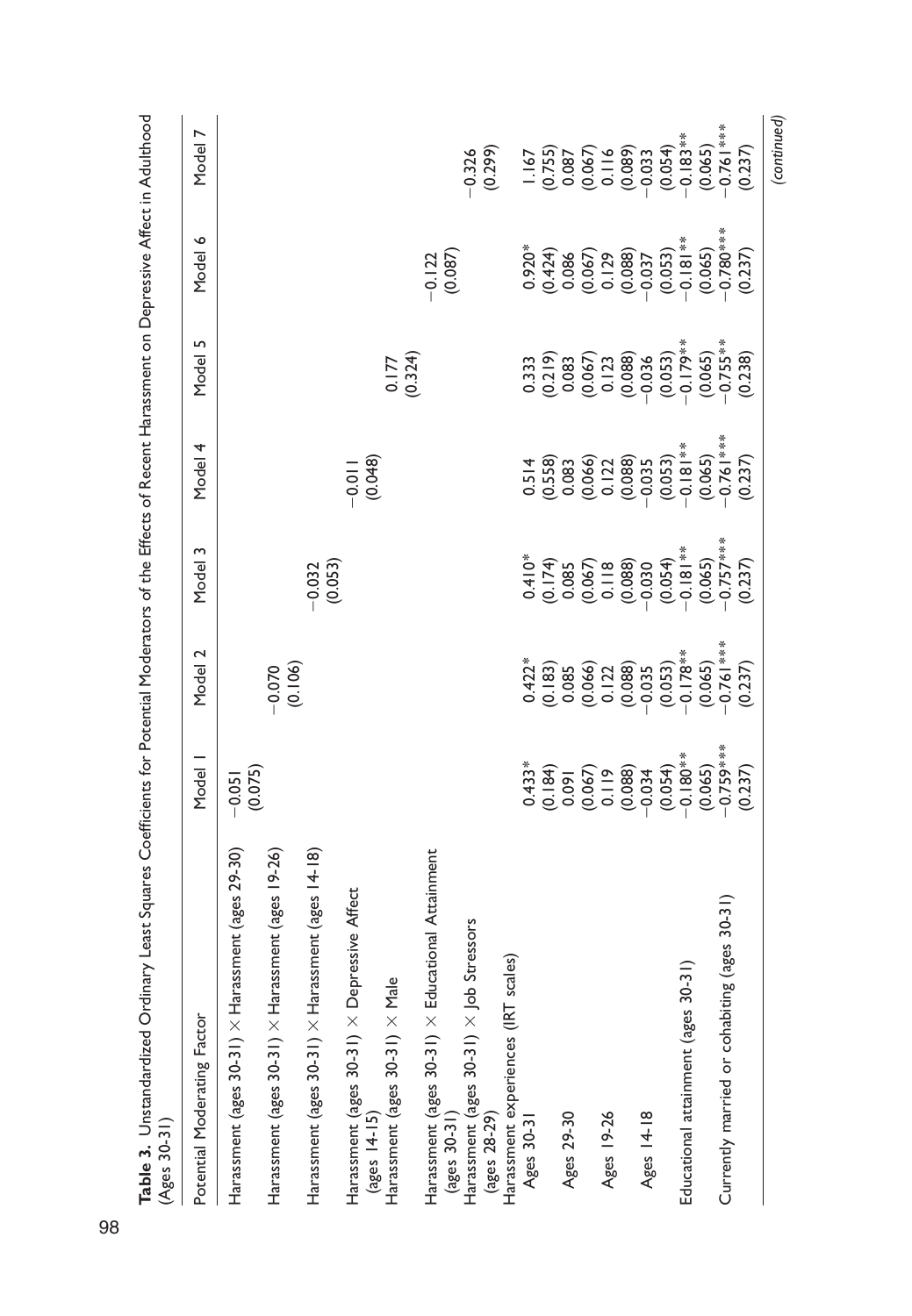| Table 3. Unstandardized Ordinary Least Squares Coefficients for Potential Moderators of the Effects of Recent Harassment on Depressive Affect in Adulthood<br>$(A_{\text{ges}} 30 - 31)$ |                                                                                                               |                                                 |                        |                                                                                    |                                                            |                                                                                                                                        |                                                                                                          |
|------------------------------------------------------------------------------------------------------------------------------------------------------------------------------------------|---------------------------------------------------------------------------------------------------------------|-------------------------------------------------|------------------------|------------------------------------------------------------------------------------|------------------------------------------------------------|----------------------------------------------------------------------------------------------------------------------------------------|----------------------------------------------------------------------------------------------------------|
| Potential Moderating Factor                                                                                                                                                              | Model                                                                                                         | $\mathbf{\sim}$<br>Model                        | S<br>Model             | 4<br>Model                                                                         | 5<br>Model                                                 | ∾<br>Model                                                                                                                             | Model 7                                                                                                  |
| Harassment (ages 30-31) $\times$ Harassment (ages 29-30)                                                                                                                                 | (0.075)<br>$-0.051$                                                                                           |                                                 |                        |                                                                                    |                                                            |                                                                                                                                        |                                                                                                          |
| Harassment (ages $30-31$ ) $\times$ Harassment (ages 19-26)                                                                                                                              |                                                                                                               | (0.106)<br>$-0.070$                             |                        |                                                                                    |                                                            |                                                                                                                                        |                                                                                                          |
| Harassment (ages $30-31$ ) $\times$ Harassment (ages 14-18)                                                                                                                              |                                                                                                               |                                                 | (0.053)<br>$-0.032$    |                                                                                    |                                                            |                                                                                                                                        |                                                                                                          |
| Harassment (ages 30-31) × Depressive Affect<br>$(2ges 14-15)$                                                                                                                            |                                                                                                               |                                                 |                        | (0.048)<br>$-0.011$                                                                |                                                            |                                                                                                                                        |                                                                                                          |
| Harassment (ages $30-31$ ) $\times$ Male                                                                                                                                                 |                                                                                                               |                                                 |                        |                                                                                    | $0.177$<br>$(0.324)$                                       |                                                                                                                                        |                                                                                                          |
| Harassment (ages 30-31) X Educational Attainment                                                                                                                                         |                                                                                                               |                                                 |                        |                                                                                    |                                                            | $-0.122$                                                                                                                               |                                                                                                          |
| Harassment (ages 30-31) × Job Stressors<br>$(2$ ges 30-31)                                                                                                                               |                                                                                                               |                                                 |                        |                                                                                    |                                                            | (0.087)                                                                                                                                | $-0.326$                                                                                                 |
| (ages 28-29)                                                                                                                                                                             |                                                                                                               |                                                 |                        |                                                                                    |                                                            |                                                                                                                                        | (0.299)                                                                                                  |
| Harassment experiences (IRT scales)<br>Ages 30-31                                                                                                                                        | $0.433*$                                                                                                      | $0.422*$                                        |                        | 0.514                                                                              |                                                            | $0.920*$                                                                                                                               |                                                                                                          |
|                                                                                                                                                                                          |                                                                                                               |                                                 |                        |                                                                                    |                                                            |                                                                                                                                        |                                                                                                          |
| Ages 29-30                                                                                                                                                                               |                                                                                                               | $\begin{array}{c} (0.183) \\ 0.085 \end{array}$ |                        | $(0.558)$<br>$0.083$                                                               | 0.333<br>(0.219)<br>0.083                                  | $(0.424)$<br>0.086                                                                                                                     |                                                                                                          |
|                                                                                                                                                                                          |                                                                                                               | $(0.066)$<br>0.122                              |                        |                                                                                    |                                                            |                                                                                                                                        |                                                                                                          |
| Ages 19-26                                                                                                                                                                               | $(0.184)$ $(0.067)$ $(0.067)$ $(0.067)$ $(0.067)$ $(0.067)$ $(0.067)$ $(0.067)$ $(0.067)$ $(0.068)$ $(0.069)$ | (0.088)                                         |                        |                                                                                    | $(0.067)$<br>0.123<br>0.1038<br>0.033<br>0.053)<br>0.179** |                                                                                                                                        | $-1.167$<br>$-0.755$<br>$-0.037$<br>$-0.067$<br>$-0.037$<br>$-0.033$<br>$-0.033$<br>$-0.183$<br>$-0.037$ |
| Ages 14-18                                                                                                                                                                               |                                                                                                               |                                                 |                        |                                                                                    |                                                            |                                                                                                                                        |                                                                                                          |
|                                                                                                                                                                                          |                                                                                                               | $-0.035$<br>$(0.053)$<br>$-0.178**$             | $(0.054)$<br>-0.181**  |                                                                                    |                                                            |                                                                                                                                        |                                                                                                          |
| Educational attainment (ages 30-31)                                                                                                                                                      |                                                                                                               |                                                 |                        |                                                                                    |                                                            |                                                                                                                                        |                                                                                                          |
| Currently married or cohabiting (ages 30-31)                                                                                                                                             | $(0.065)$<br>$-0.759***$                                                                                      | $(0.065)$<br>$-0.761***$                        | $(0.065)$<br>-0.757*** | $(0.066)$<br>0.122<br>0.123<br>0.088<br>0.085<br>0.045<br>0.237<br>0.237<br>0.0237 | $(0.065)$<br>$-0.755**$                                    | $\begin{array}{l} (0.067)\\ 0.129\\ 0.129\\ 0.088\\ 0.037\\ -0.037\\ 0.053\\ -0.181^{***}\\ -0.780^{***}\\ -0.780^{***}\\ \end{array}$ | $(0.065)$<br>-0.761***                                                                                   |
|                                                                                                                                                                                          | (0.237)                                                                                                       | (0.237)                                         | (0.237)                |                                                                                    | (0.238)                                                    |                                                                                                                                        | (0.237)                                                                                                  |
|                                                                                                                                                                                          |                                                                                                               |                                                 |                        |                                                                                    |                                                            |                                                                                                                                        | (continued)                                                                                              |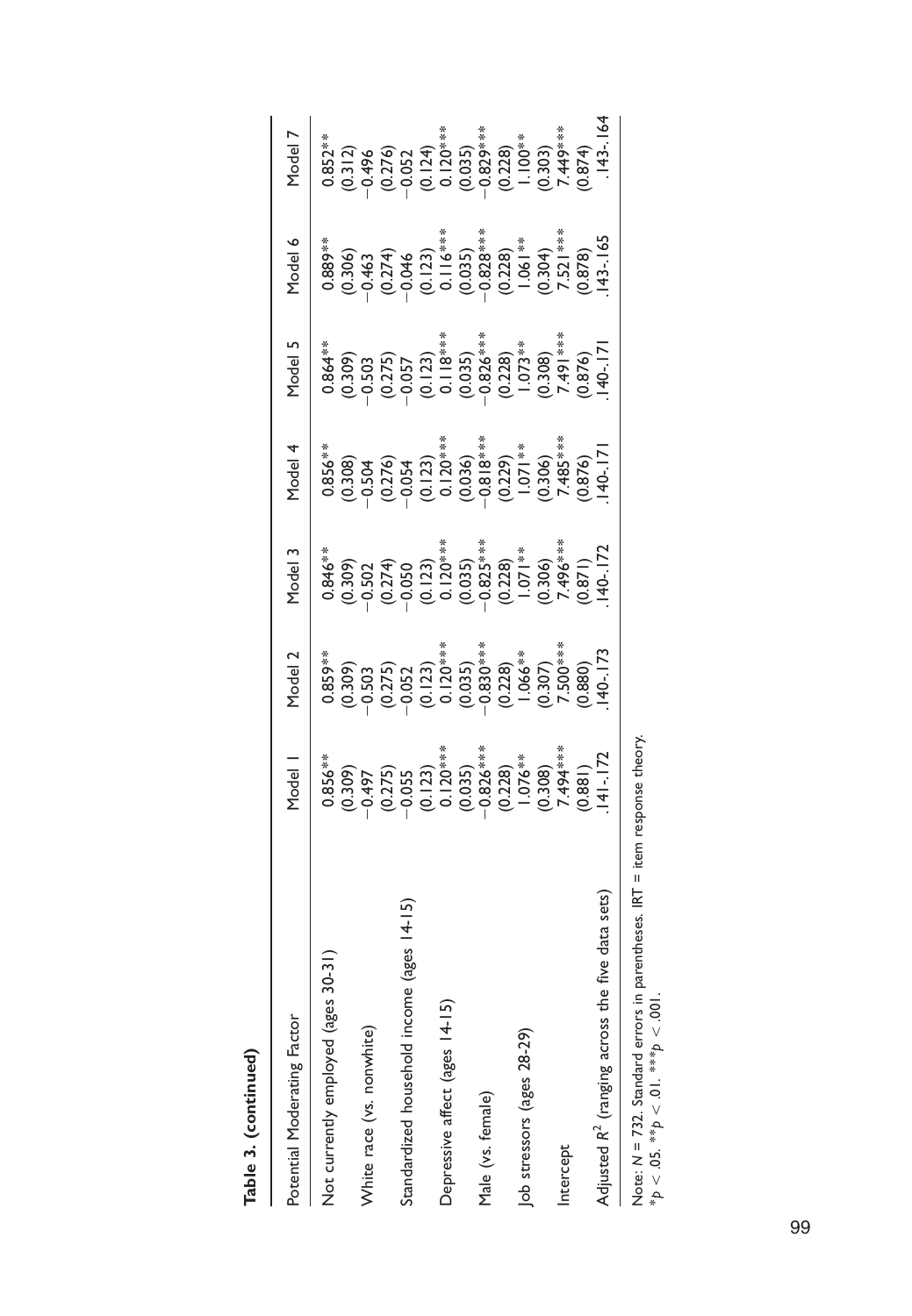| ť |
|---|
|   |
|   |
|   |

| Potential Moderating Factor                                 | Model                                                                                                                                                                                                                                                                                           | Yodel 2 | Model 3                                                                                                                                                                                                                                                                                     | Model 4                                                                                                                                                                                                                                                                                        | Model 5                                                                                                                                                                                                                                                                                           | Model 6                                                                                                                                                                                                                                                                                                                         | Model 7                                                                                                                                                                                  |
|-------------------------------------------------------------|-------------------------------------------------------------------------------------------------------------------------------------------------------------------------------------------------------------------------------------------------------------------------------------------------|---------|---------------------------------------------------------------------------------------------------------------------------------------------------------------------------------------------------------------------------------------------------------------------------------------------|------------------------------------------------------------------------------------------------------------------------------------------------------------------------------------------------------------------------------------------------------------------------------------------------|---------------------------------------------------------------------------------------------------------------------------------------------------------------------------------------------------------------------------------------------------------------------------------------------------|---------------------------------------------------------------------------------------------------------------------------------------------------------------------------------------------------------------------------------------------------------------------------------------------------------------------------------|------------------------------------------------------------------------------------------------------------------------------------------------------------------------------------------|
| Not currently employed (ages 30-31)                         |                                                                                                                                                                                                                                                                                                 |         |                                                                                                                                                                                                                                                                                             |                                                                                                                                                                                                                                                                                                |                                                                                                                                                                                                                                                                                                   |                                                                                                                                                                                                                                                                                                                                 |                                                                                                                                                                                          |
| White race (vs. nonwhite)                                   | $\begin{array}{l} 0.856**\\ 0.309)\\ -0.497\\ -0.055\\ 0.1203\\ -0.055\\ 0.120**\\ -0.035\\ 0.035\\ -0.035\\ -0.035\\ -0.035\\ -0.030\\ -0.030\\ -0.030\\ -0.030\\ -0.030\\ -0.030\\ -0.030\\ -0.030\\ -0.030\\ -0.030\\ -0.030\\ -0.030\\ -0.030\\ -0.030\\ -0.030\\ -0.030\\ -0.030\\ -0.030$ |         | $\begin{array}{l} 0.846**\\ 0.309)\\ -0.502\\ -0.050\\ 0.01274)\\ -0.050\\ 0.0123)\\ -0.035\\ -0.035\\ -0.035\\ -0.035\\ -0.036\\ -0.036\\ -0.036\\ -0.0371\\ -0.0371\\ -0.0371\\ -0.0371\\ -0.0371\\ -0.0371\\ -0.0371\\ -0.0371\\ -0.0371\\ -0.0371\\ -0.0371\\ -0.0371\\ -0.0371\\ -0.0$ | $\begin{array}{l} 0.856**\\ 0.308\\ 0.030\\ -0.504\\ 0.0276\\ 0.0123\\ 0.036\\ 0.0120**\\ 0.036\\ 0.036\\ 0.036\\ -0.036\\ 0.037**\\ -0.036\\ 0.036\\ 0.036\\ 0.0376\\ -0.036\\ 0.0376\\ -171\\ -140\\ -171\\ -140\\ -171\\ -171\\ -172\\ -173\\ -174\\ -175\\ -176\\ -171\\ -171\\ -172\\ -1$ | $\begin{array}{l} 0.864**\\ 0.309\\ -0.503\\ -0.057\\ 0.012\\ -0.057\\ 0.012\\ -0.035\\ -0.035\\ -0.035\\ -0.035\\ -0.035\\ -0.039\\ -0.030\\ -0.030\\ -0.030\\ -0.030\\ -0.030\\ -0.030\\ -0.030\\ -0.030\\ -0.030\\ -0.030\\ -0.030\\ -0.030\\ -0.030\\ -0.030\\ -0.030\\ -0.030\\ -0.030\\ -0$ | $\begin{array}{l} 0.889^{**} \\ 0.306) \\ -0.463 \\ -0.046 \\ 0.1274) \\ -0.046 \\ 0.123) \\ -0.035 \\ 0.018^{***} \\ -0.035) \\ -0.028^{***} \\ -0.034) \\ -0.037 \\ -0.039 \\ -0.030 \\ -0.030 \\ -0.030 \\ -0.030 \\ -0.030 \\ -0.030 \\ -0.030 \\ -0.030 \\ -0.030 \\ -0.030 \\ -0.030 \\ -0.030 \\ -0.030 \\ -0.030 \\ -0$ | $0.852$ **<br>$(0.312)$<br>$0.496$<br>$(0.276)$<br>$0.124$<br>$0.120$ ***<br>$0.120$ ***<br>$0.120$ ***<br>$0.035$<br>$0.033$<br>$0.033$<br>$0.0374$<br>$0.0374$<br>$0.0374$<br>$0.0374$ |
|                                                             |                                                                                                                                                                                                                                                                                                 |         |                                                                                                                                                                                                                                                                                             |                                                                                                                                                                                                                                                                                                |                                                                                                                                                                                                                                                                                                   |                                                                                                                                                                                                                                                                                                                                 |                                                                                                                                                                                          |
| $4 - 15$<br>Standardized household income (ages             |                                                                                                                                                                                                                                                                                                 |         |                                                                                                                                                                                                                                                                                             |                                                                                                                                                                                                                                                                                                |                                                                                                                                                                                                                                                                                                   |                                                                                                                                                                                                                                                                                                                                 |                                                                                                                                                                                          |
|                                                             |                                                                                                                                                                                                                                                                                                 |         |                                                                                                                                                                                                                                                                                             |                                                                                                                                                                                                                                                                                                |                                                                                                                                                                                                                                                                                                   |                                                                                                                                                                                                                                                                                                                                 |                                                                                                                                                                                          |
| Depressive affect (ages 14-15)                              |                                                                                                                                                                                                                                                                                                 |         |                                                                                                                                                                                                                                                                                             |                                                                                                                                                                                                                                                                                                |                                                                                                                                                                                                                                                                                                   |                                                                                                                                                                                                                                                                                                                                 |                                                                                                                                                                                          |
|                                                             |                                                                                                                                                                                                                                                                                                 |         |                                                                                                                                                                                                                                                                                             |                                                                                                                                                                                                                                                                                                |                                                                                                                                                                                                                                                                                                   |                                                                                                                                                                                                                                                                                                                                 |                                                                                                                                                                                          |
| Male (vs. female)                                           |                                                                                                                                                                                                                                                                                                 |         |                                                                                                                                                                                                                                                                                             |                                                                                                                                                                                                                                                                                                |                                                                                                                                                                                                                                                                                                   |                                                                                                                                                                                                                                                                                                                                 |                                                                                                                                                                                          |
|                                                             |                                                                                                                                                                                                                                                                                                 |         |                                                                                                                                                                                                                                                                                             |                                                                                                                                                                                                                                                                                                |                                                                                                                                                                                                                                                                                                   |                                                                                                                                                                                                                                                                                                                                 |                                                                                                                                                                                          |
| Job stressors (ages 28-29)                                  |                                                                                                                                                                                                                                                                                                 |         |                                                                                                                                                                                                                                                                                             |                                                                                                                                                                                                                                                                                                |                                                                                                                                                                                                                                                                                                   |                                                                                                                                                                                                                                                                                                                                 |                                                                                                                                                                                          |
|                                                             |                                                                                                                                                                                                                                                                                                 |         |                                                                                                                                                                                                                                                                                             |                                                                                                                                                                                                                                                                                                |                                                                                                                                                                                                                                                                                                   |                                                                                                                                                                                                                                                                                                                                 |                                                                                                                                                                                          |
| Intercept                                                   |                                                                                                                                                                                                                                                                                                 |         |                                                                                                                                                                                                                                                                                             |                                                                                                                                                                                                                                                                                                |                                                                                                                                                                                                                                                                                                   |                                                                                                                                                                                                                                                                                                                                 |                                                                                                                                                                                          |
|                                                             |                                                                                                                                                                                                                                                                                                 |         |                                                                                                                                                                                                                                                                                             |                                                                                                                                                                                                                                                                                                |                                                                                                                                                                                                                                                                                                   |                                                                                                                                                                                                                                                                                                                                 |                                                                                                                                                                                          |
| Adjusted R <sup>2</sup> (ranging across the five data sets) |                                                                                                                                                                                                                                                                                                 |         |                                                                                                                                                                                                                                                                                             |                                                                                                                                                                                                                                                                                                |                                                                                                                                                                                                                                                                                                   |                                                                                                                                                                                                                                                                                                                                 |                                                                                                                                                                                          |
|                                                             |                                                                                                                                                                                                                                                                                                 |         |                                                                                                                                                                                                                                                                                             |                                                                                                                                                                                                                                                                                                |                                                                                                                                                                                                                                                                                                   |                                                                                                                                                                                                                                                                                                                                 |                                                                                                                                                                                          |

Note:  $N = 732$ . Standard errors in parentheses. IRT = item response theory.<br>\* $p < .05$ . \*\* $p < .01$ . \*\*\* $p < .001$ . Note: N = 732. Standard errors in parentheses. IRT = item response theory.  $^*p < .05.$  \*\*p  $< .01.$  \*\*\*p  $< .001.$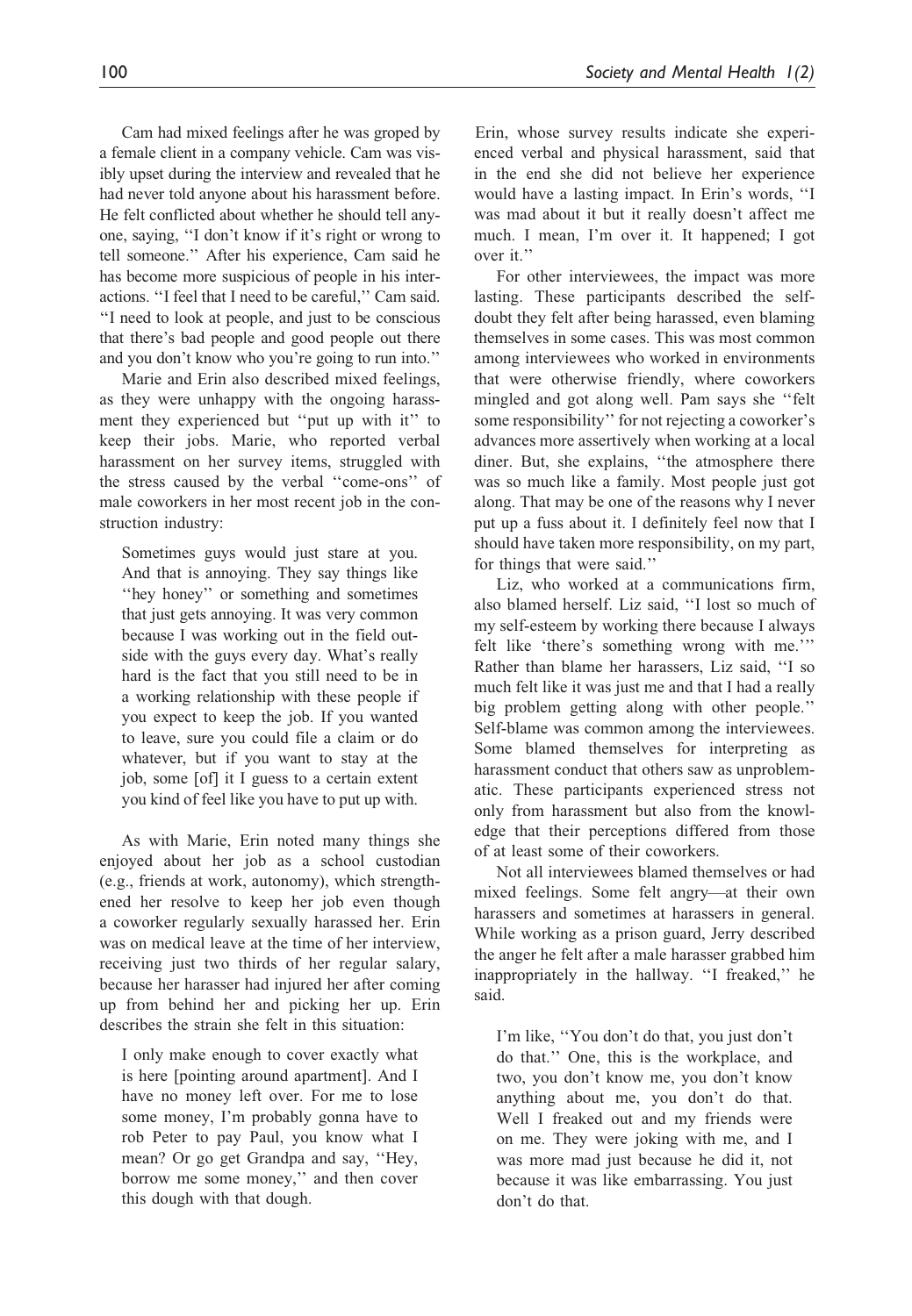Cam had mixed feelings after he was groped by a female client in a company vehicle. Cam was visibly upset during the interview and revealed that he had never told anyone about his harassment before. He felt conflicted about whether he should tell anyone, saying, ''I don't know if it's right or wrong to tell someone.'' After his experience, Cam said he has become more suspicious of people in his interactions. ''I feel that I need to be careful,'' Cam said. ''I need to look at people, and just to be conscious that there's bad people and good people out there and you don't know who you're going to run into.''

Marie and Erin also described mixed feelings, as they were unhappy with the ongoing harassment they experienced but "put up with it" to keep their jobs. Marie, who reported verbal harassment on her survey items, struggled with the stress caused by the verbal ''come-ons'' of male coworkers in her most recent job in the construction industry:

Sometimes guys would just stare at you. And that is annoying. They say things like ''hey honey'' or something and sometimes that just gets annoying. It was very common because I was working out in the field outside with the guys every day. What's really hard is the fact that you still need to be in a working relationship with these people if you expect to keep the job. If you wanted to leave, sure you could file a claim or do whatever, but if you want to stay at the job, some [of] it I guess to a certain extent you kind of feel like you have to put up with.

As with Marie, Erin noted many things she enjoyed about her job as a school custodian (e.g., friends at work, autonomy), which strengthened her resolve to keep her job even though a coworker regularly sexually harassed her. Erin was on medical leave at the time of her interview, receiving just two thirds of her regular salary, because her harasser had injured her after coming up from behind her and picking her up. Erin describes the strain she felt in this situation:

I only make enough to cover exactly what is here [pointing around apartment]. And I have no money left over. For me to lose some money, I'm probably gonna have to rob Peter to pay Paul, you know what I mean? Or go get Grandpa and say, ''Hey, borrow me some money,'' and then cover this dough with that dough.

Erin, whose survey results indicate she experienced verbal and physical harassment, said that in the end she did not believe her experience would have a lasting impact. In Erin's words, ''I was mad about it but it really doesn't affect me much. I mean, I'm over it. It happened; I got over it.''

For other interviewees, the impact was more lasting. These participants described the selfdoubt they felt after being harassed, even blaming themselves in some cases. This was most common among interviewees who worked in environments that were otherwise friendly, where coworkers mingled and got along well. Pam says she ''felt some responsibility'' for not rejecting a coworker's advances more assertively when working at a local diner. But, she explains, ''the atmosphere there was so much like a family. Most people just got along. That may be one of the reasons why I never put up a fuss about it. I definitely feel now that I should have taken more responsibility, on my part, for things that were said.''

Liz, who worked at a communications firm, also blamed herself. Liz said, ''I lost so much of my self-esteem by working there because I always felt like 'there's something wrong with me.''' Rather than blame her harassers, Liz said, ''I so much felt like it was just me and that I had a really big problem getting along with other people.'' Self-blame was common among the interviewees. Some blamed themselves for interpreting as harassment conduct that others saw as unproblematic. These participants experienced stress not only from harassment but also from the knowledge that their perceptions differed from those of at least some of their coworkers.

Not all interviewees blamed themselves or had mixed feelings. Some felt angry—at their own harassers and sometimes at harassers in general. While working as a prison guard, Jerry described the anger he felt after a male harasser grabbed him inappropriately in the hallway. ''I freaked,'' he said.

I'm like, ''You don't do that, you just don't do that.'' One, this is the workplace, and two, you don't know me, you don't know anything about me, you don't do that. Well I freaked out and my friends were on me. They were joking with me, and I was more mad just because he did it, not because it was like embarrassing. You just don't do that.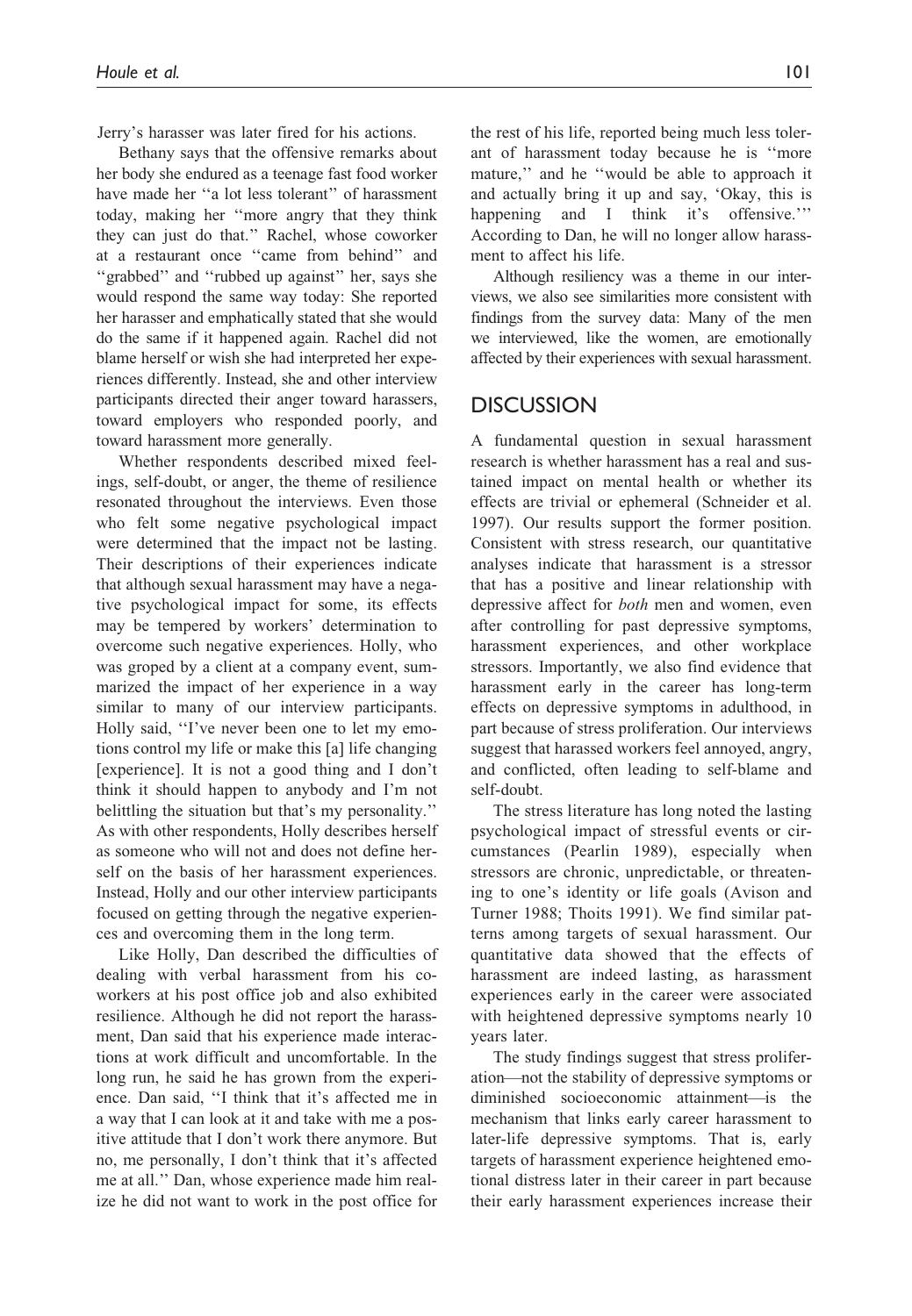Jerry's harasser was later fired for his actions.

Bethany says that the offensive remarks about her body she endured as a teenage fast food worker have made her ''a lot less tolerant'' of harassment today, making her ''more angry that they think they can just do that.'' Rachel, whose coworker at a restaurant once ''came from behind'' and "grabbed" and "rubbed up against" her, says she would respond the same way today: She reported her harasser and emphatically stated that she would do the same if it happened again. Rachel did not blame herself or wish she had interpreted her experiences differently. Instead, she and other interview participants directed their anger toward harassers, toward employers who responded poorly, and toward harassment more generally.

Whether respondents described mixed feelings, self-doubt, or anger, the theme of resilience resonated throughout the interviews. Even those who felt some negative psychological impact were determined that the impact not be lasting. Their descriptions of their experiences indicate that although sexual harassment may have a negative psychological impact for some, its effects may be tempered by workers' determination to overcome such negative experiences. Holly, who was groped by a client at a company event, summarized the impact of her experience in a way similar to many of our interview participants. Holly said, ''I've never been one to let my emotions control my life or make this [a] life changing [experience]. It is not a good thing and I don't think it should happen to anybody and I'm not belittling the situation but that's my personality.'' As with other respondents, Holly describes herself as someone who will not and does not define herself on the basis of her harassment experiences. Instead, Holly and our other interview participants focused on getting through the negative experiences and overcoming them in the long term.

Like Holly, Dan described the difficulties of dealing with verbal harassment from his coworkers at his post office job and also exhibited resilience. Although he did not report the harassment, Dan said that his experience made interactions at work difficult and uncomfortable. In the long run, he said he has grown from the experience. Dan said, ''I think that it's affected me in a way that I can look at it and take with me a positive attitude that I don't work there anymore. But no, me personally, I don't think that it's affected me at all.'' Dan, whose experience made him realize he did not want to work in the post office for

the rest of his life, reported being much less tolerant of harassment today because he is ''more mature,'' and he ''would be able to approach it and actually bring it up and say, 'Okay, this is happening and I think it's offensive." According to Dan, he will no longer allow harassment to affect his life.

Although resiliency was a theme in our interviews, we also see similarities more consistent with findings from the survey data: Many of the men we interviewed, like the women, are emotionally affected by their experiences with sexual harassment.

## **DISCUSSION**

A fundamental question in sexual harassment research is whether harassment has a real and sustained impact on mental health or whether its effects are trivial or ephemeral (Schneider et al. 1997). Our results support the former position. Consistent with stress research, our quantitative analyses indicate that harassment is a stressor that has a positive and linear relationship with depressive affect for both men and women, even after controlling for past depressive symptoms, harassment experiences, and other workplace stressors. Importantly, we also find evidence that harassment early in the career has long-term effects on depressive symptoms in adulthood, in part because of stress proliferation. Our interviews suggest that harassed workers feel annoyed, angry, and conflicted, often leading to self-blame and self-doubt.

The stress literature has long noted the lasting psychological impact of stressful events or circumstances (Pearlin 1989), especially when stressors are chronic, unpredictable, or threatening to one's identity or life goals (Avison and Turner 1988; Thoits 1991). We find similar patterns among targets of sexual harassment. Our quantitative data showed that the effects of harassment are indeed lasting, as harassment experiences early in the career were associated with heightened depressive symptoms nearly 10 years later.

The study findings suggest that stress proliferation—not the stability of depressive symptoms or diminished socioeconomic attainment—is the mechanism that links early career harassment to later-life depressive symptoms. That is, early targets of harassment experience heightened emotional distress later in their career in part because their early harassment experiences increase their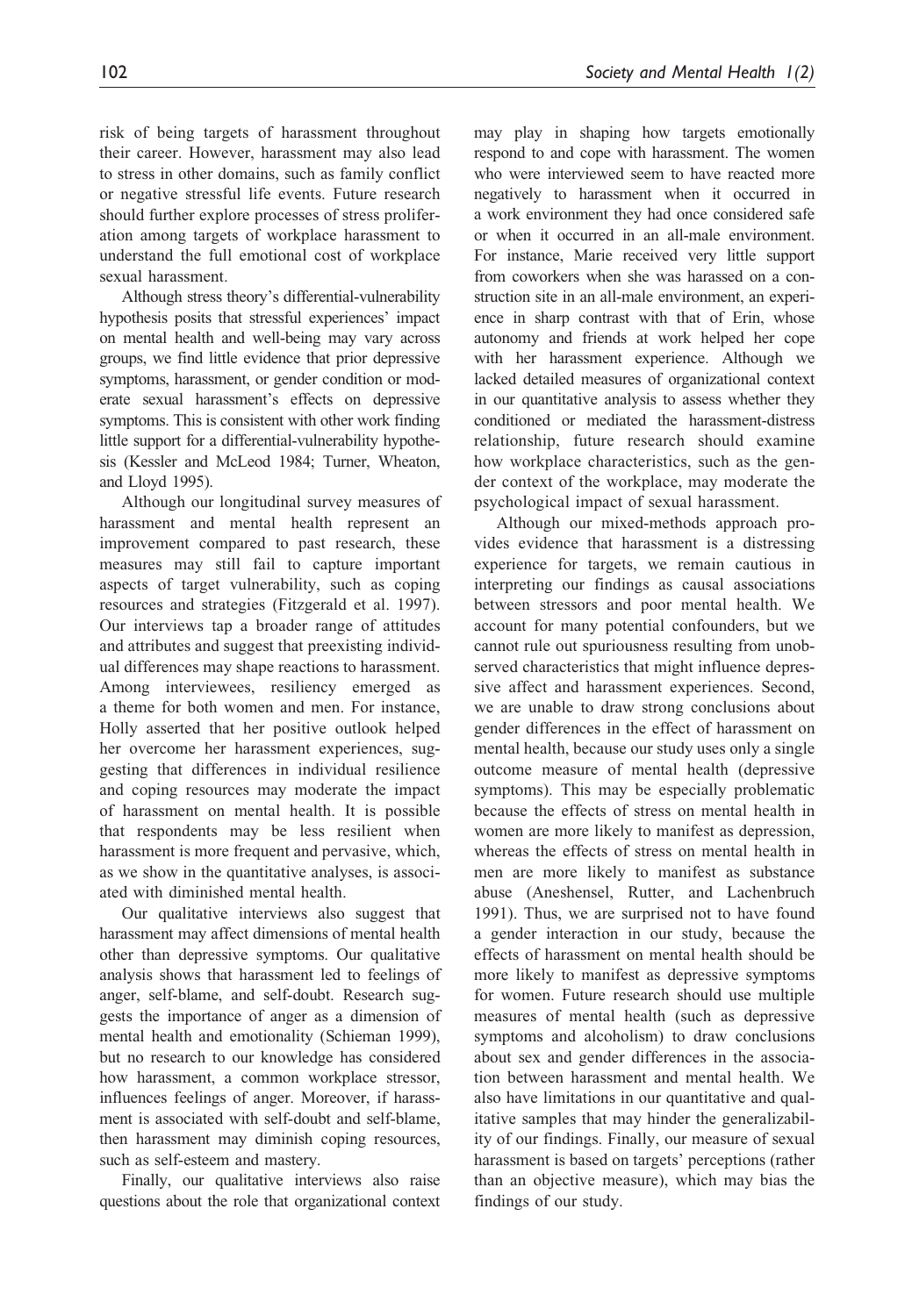risk of being targets of harassment throughout their career. However, harassment may also lead to stress in other domains, such as family conflict or negative stressful life events. Future research should further explore processes of stress proliferation among targets of workplace harassment to understand the full emotional cost of workplace sexual harassment.

Although stress theory's differential-vulnerability hypothesis posits that stressful experiences' impact on mental health and well-being may vary across groups, we find little evidence that prior depressive symptoms, harassment, or gender condition or moderate sexual harassment's effects on depressive symptoms. This is consistent with other work finding little support for a differential-vulnerability hypothesis (Kessler and McLeod 1984; Turner, Wheaton, and Lloyd 1995).

Although our longitudinal survey measures of harassment and mental health represent an improvement compared to past research, these measures may still fail to capture important aspects of target vulnerability, such as coping resources and strategies (Fitzgerald et al. 1997). Our interviews tap a broader range of attitudes and attributes and suggest that preexisting individual differences may shape reactions to harassment. Among interviewees, resiliency emerged as a theme for both women and men. For instance, Holly asserted that her positive outlook helped her overcome her harassment experiences, suggesting that differences in individual resilience and coping resources may moderate the impact of harassment on mental health. It is possible that respondents may be less resilient when harassment is more frequent and pervasive, which, as we show in the quantitative analyses, is associated with diminished mental health.

Our qualitative interviews also suggest that harassment may affect dimensions of mental health other than depressive symptoms. Our qualitative analysis shows that harassment led to feelings of anger, self-blame, and self-doubt. Research suggests the importance of anger as a dimension of mental health and emotionality (Schieman 1999), but no research to our knowledge has considered how harassment, a common workplace stressor, influences feelings of anger. Moreover, if harassment is associated with self-doubt and self-blame, then harassment may diminish coping resources, such as self-esteem and mastery.

Finally, our qualitative interviews also raise questions about the role that organizational context may play in shaping how targets emotionally respond to and cope with harassment. The women who were interviewed seem to have reacted more negatively to harassment when it occurred in a work environment they had once considered safe or when it occurred in an all-male environment. For instance, Marie received very little support from coworkers when she was harassed on a construction site in an all-male environment, an experience in sharp contrast with that of Erin, whose autonomy and friends at work helped her cope with her harassment experience. Although we lacked detailed measures of organizational context in our quantitative analysis to assess whether they conditioned or mediated the harassment-distress relationship, future research should examine how workplace characteristics, such as the gender context of the workplace, may moderate the psychological impact of sexual harassment.

Although our mixed-methods approach provides evidence that harassment is a distressing experience for targets, we remain cautious in interpreting our findings as causal associations between stressors and poor mental health. We account for many potential confounders, but we cannot rule out spuriousness resulting from unobserved characteristics that might influence depressive affect and harassment experiences. Second, we are unable to draw strong conclusions about gender differences in the effect of harassment on mental health, because our study uses only a single outcome measure of mental health (depressive symptoms). This may be especially problematic because the effects of stress on mental health in women are more likely to manifest as depression, whereas the effects of stress on mental health in men are more likely to manifest as substance abuse (Aneshensel, Rutter, and Lachenbruch 1991). Thus, we are surprised not to have found a gender interaction in our study, because the effects of harassment on mental health should be more likely to manifest as depressive symptoms for women. Future research should use multiple measures of mental health (such as depressive symptoms and alcoholism) to draw conclusions about sex and gender differences in the association between harassment and mental health. We also have limitations in our quantitative and qualitative samples that may hinder the generalizability of our findings. Finally, our measure of sexual harassment is based on targets' perceptions (rather than an objective measure), which may bias the findings of our study.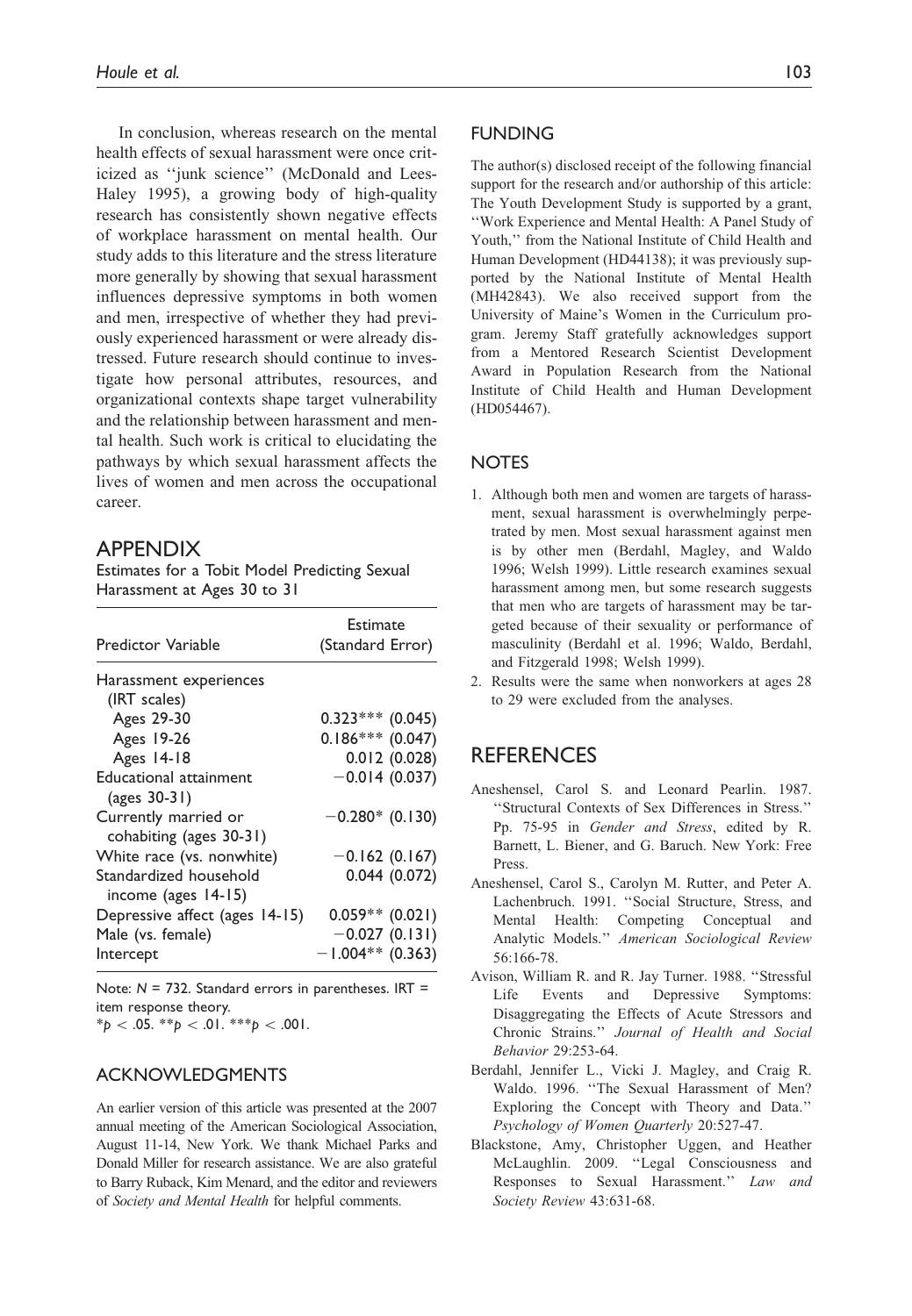In conclusion, whereas research on the mental health effects of sexual harassment were once criticized as ''junk science'' (McDonald and Lees-Haley 1995), a growing body of high-quality research has consistently shown negative effects of workplace harassment on mental health. Our study adds to this literature and the stress literature more generally by showing that sexual harassment influences depressive symptoms in both women and men, irrespective of whether they had previously experienced harassment or were already distressed. Future research should continue to investigate how personal attributes, resources, and organizational contexts shape target vulnerability and the relationship between harassment and mental health. Such work is critical to elucidating the pathways by which sexual harassment affects the lives of women and men across the occupational career.

## APPENDIX

Estimates for a Tobit Model Predicting Sexual Harassment at Ages 30 to 31

| <b>Predictor Variable</b>                     | Estimate<br>(Standard Error) |
|-----------------------------------------------|------------------------------|
| Harassment experiences                        |                              |
| (IRT scales)                                  |                              |
| Ages 29-30                                    | $0.323***$ (0.045)           |
| Ages 19-26                                    | $0.186***$ (0.047)           |
| Ages 14-18                                    | 0.012(0.028)                 |
| <b>Educational attainment</b>                 | $-0.014(0.037)$              |
| (ages $30-31$ )                               |                              |
| Currently married or                          | $-0.280*$ (0.130)            |
| cohabiting (ages 30-31)                       |                              |
| White race (vs. nonwhite)                     | $-0.162(0.167)$              |
| Standardized household<br>income (ages 14-15) | 0.044(0.072)                 |
| Depressive affect (ages 14-15)                | $0.059**$ (0.021)            |
| Male (vs. female)                             | $-0.027(0.131)$              |
| Intercept                                     | $-1.004**$ (0.363)           |

Note:  $N = 732$ . Standard errors in parentheses. IRT = item response theory.  $*_{p}$  < .05.  $*_{p}$  < .01.  $*_{p}$  < .001.

#### ACKNOWLEDGMENTS

An earlier version of this article was presented at the 2007 annual meeting of the American Sociological Association, August 11-14, New York. We thank Michael Parks and Donald Miller for research assistance. We are also grateful to Barry Ruback, Kim Menard, and the editor and reviewers of Society and Mental Health for helpful comments.

The author(s) disclosed receipt of the following financial support for the research and/or authorship of this article: The Youth Development Study is supported by a grant, ''Work Experience and Mental Health: A Panel Study of Youth,'' from the National Institute of Child Health and Human Development (HD44138); it was previously supported by the National Institute of Mental Health (MH42843). We also received support from the University of Maine's Women in the Curriculum program. Jeremy Staff gratefully acknowledges support from a Mentored Research Scientist Development Award in Population Research from the National Institute of Child Health and Human Development (HD054467).

#### **NOTES**

- 1. Although both men and women are targets of harassment, sexual harassment is overwhelmingly perpetrated by men. Most sexual harassment against men is by other men (Berdahl, Magley, and Waldo 1996; Welsh 1999). Little research examines sexual harassment among men, but some research suggests that men who are targets of harassment may be targeted because of their sexuality or performance of masculinity (Berdahl et al. 1996; Waldo, Berdahl, and Fitzgerald 1998; Welsh 1999).
- 2. Results were the same when nonworkers at ages 28 to 29 were excluded from the analyses.

## **REFERENCES**

- Aneshensel, Carol S. and Leonard Pearlin. 1987. ''Structural Contexts of Sex Differences in Stress.'' Pp. 75-95 in Gender and Stress, edited by R. Barnett, L. Biener, and G. Baruch. New York: Free Press.
- Aneshensel, Carol S., Carolyn M. Rutter, and Peter A. Lachenbruch. 1991. ''Social Structure, Stress, and Mental Health: Competing Conceptual and Analytic Models.'' American Sociological Review 56:166-78.
- Avison, William R. and R. Jay Turner. 1988. ''Stressful Life Events and Depressive Symptoms: Disaggregating the Effects of Acute Stressors and Chronic Strains.'' Journal of Health and Social Behavior 29:253-64.
- Berdahl, Jennifer L., Vicki J. Magley, and Craig R. Waldo. 1996. ''The Sexual Harassment of Men? Exploring the Concept with Theory and Data.'' Psychology of Women Quarterly 20:527-47.
- Blackstone, Amy, Christopher Uggen, and Heather McLaughlin. 2009. ''Legal Consciousness and Responses to Sexual Harassment.'' Law and Society Review 43:631-68.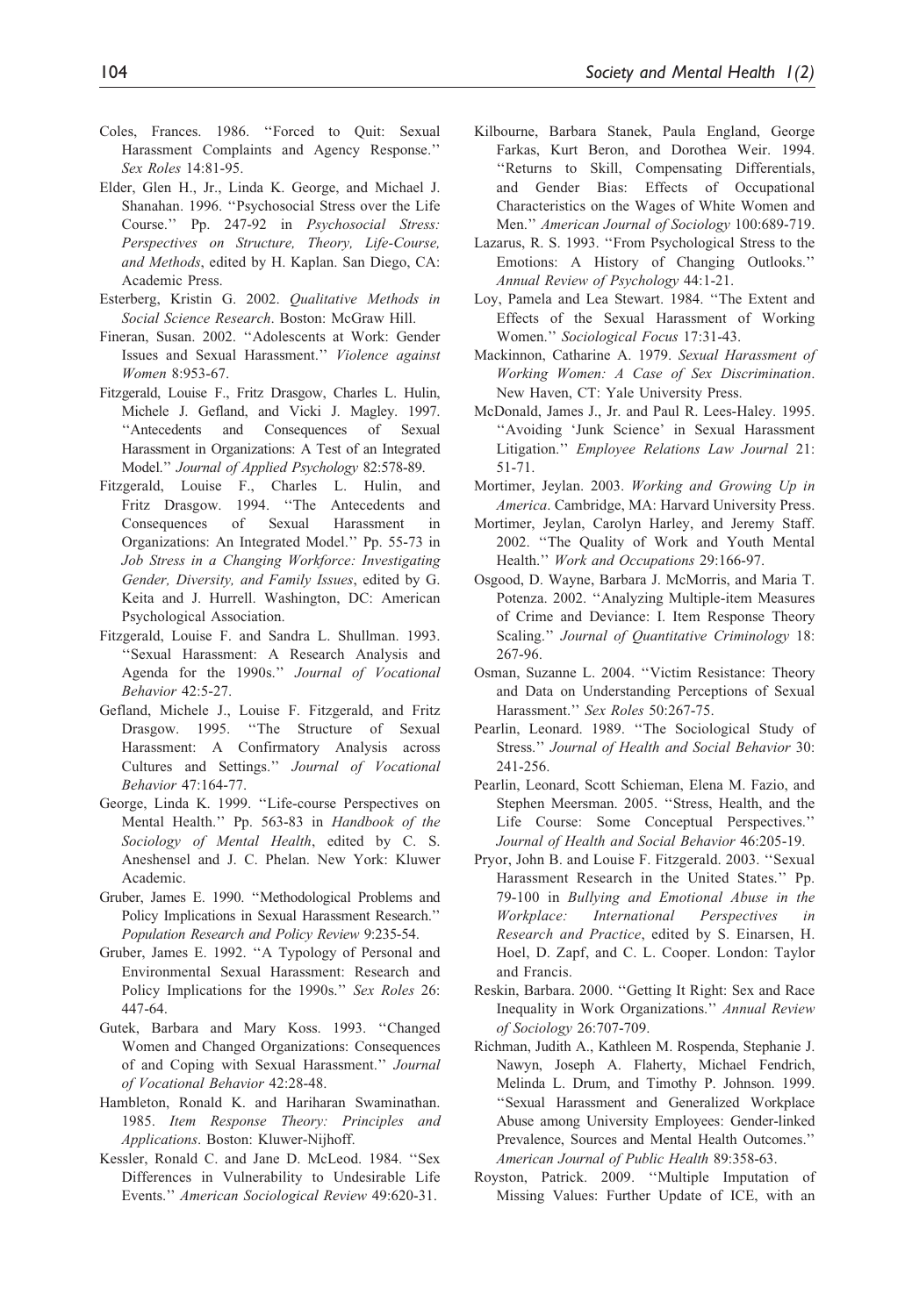- Coles, Frances. 1986. ''Forced to Quit: Sexual Harassment Complaints and Agency Response.'' Sex Roles 14:81-95.
- Elder, Glen H., Jr., Linda K. George, and Michael J. Shanahan. 1996. ''Psychosocial Stress over the Life Course.'' Pp. 247-92 in Psychosocial Stress: Perspectives on Structure, Theory, Life-Course, and Methods, edited by H. Kaplan. San Diego, CA: Academic Press.
- Esterberg, Kristin G. 2002. Qualitative Methods in Social Science Research. Boston: McGraw Hill.
- Fineran, Susan. 2002. ''Adolescents at Work: Gender Issues and Sexual Harassment.'' Violence against Women 8:953-67.
- Fitzgerald, Louise F., Fritz Drasgow, Charles L. Hulin, Michele J. Gefland, and Vicki J. Magley. 1997. ''Antecedents and Consequences of Sexual Harassment in Organizations: A Test of an Integrated Model.'' Journal of Applied Psychology 82:578-89.
- Fitzgerald, Louise F., Charles L. Hulin, and Fritz Drasgow. 1994. "The Antecedents and Consequences of Sexual Harassment in Organizations: An Integrated Model.'' Pp. 55-73 in Job Stress in a Changing Workforce: Investigating Gender, Diversity, and Family Issues, edited by G. Keita and J. Hurrell. Washington, DC: American Psychological Association.
- Fitzgerald, Louise F. and Sandra L. Shullman. 1993. ''Sexual Harassment: A Research Analysis and Agenda for the 1990s.'' Journal of Vocational Behavior 42:5-27.
- Gefland, Michele J., Louise F. Fitzgerald, and Fritz Drasgow. 1995. "The Structure of Sexual Harassment: A Confirmatory Analysis across Cultures and Settings.'' Journal of Vocational Behavior 47:164-77.
- George, Linda K. 1999. ''Life-course Perspectives on Mental Health.'' Pp. 563-83 in Handbook of the Sociology of Mental Health, edited by C. S. Aneshensel and J. C. Phelan. New York: Kluwer Academic.
- Gruber, James E. 1990. ''Methodological Problems and Policy Implications in Sexual Harassment Research.'' Population Research and Policy Review 9:235-54.
- Gruber, James E. 1992. ''A Typology of Personal and Environmental Sexual Harassment: Research and Policy Implications for the 1990s.'' Sex Roles 26: 447-64.
- Gutek, Barbara and Mary Koss. 1993. ''Changed Women and Changed Organizations: Consequences of and Coping with Sexual Harassment.'' Journal of Vocational Behavior 42:28-48.
- Hambleton, Ronald K. and Hariharan Swaminathan. 1985. Item Response Theory: Principles and Applications. Boston: Kluwer-Nijhoff.
- Kessler, Ronald C. and Jane D. McLeod. 1984. ''Sex Differences in Vulnerability to Undesirable Life Events.'' American Sociological Review 49:620-31.
- Kilbourne, Barbara Stanek, Paula England, George Farkas, Kurt Beron, and Dorothea Weir. 1994. ''Returns to Skill, Compensating Differentials, and Gender Bias: Effects of Occupational Characteristics on the Wages of White Women and Men.'' American Journal of Sociology 100:689-719.
- Lazarus, R. S. 1993. ''From Psychological Stress to the Emotions: A History of Changing Outlooks.'' Annual Review of Psychology 44:1-21.
- Loy, Pamela and Lea Stewart. 1984. ''The Extent and Effects of the Sexual Harassment of Working Women.'' Sociological Focus 17:31-43.
- Mackinnon, Catharine A. 1979. Sexual Harassment of Working Women: A Case of Sex Discrimination. New Haven, CT: Yale University Press.
- McDonald, James J., Jr. and Paul R. Lees-Haley. 1995. ''Avoiding 'Junk Science' in Sexual Harassment Litigation.'' Employee Relations Law Journal 21: 51-71.
- Mortimer, Jeylan. 2003. Working and Growing Up in America. Cambridge, MA: Harvard University Press.
- Mortimer, Jeylan, Carolyn Harley, and Jeremy Staff. 2002. ''The Quality of Work and Youth Mental Health.'' Work and Occupations 29:166-97.
- Osgood, D. Wayne, Barbara J. McMorris, and Maria T. Potenza. 2002. ''Analyzing Multiple-item Measures of Crime and Deviance: I. Item Response Theory Scaling.'' Journal of Quantitative Criminology 18: 267-96.
- Osman, Suzanne L. 2004. ''Victim Resistance: Theory and Data on Understanding Perceptions of Sexual Harassment.'' Sex Roles 50:267-75.
- Pearlin, Leonard. 1989. ''The Sociological Study of Stress.'' Journal of Health and Social Behavior 30: 241-256.
- Pearlin, Leonard, Scott Schieman, Elena M. Fazio, and Stephen Meersman. 2005. ''Stress, Health, and the Life Course: Some Conceptual Perspectives.'' Journal of Health and Social Behavior 46:205-19.
- Pryor, John B. and Louise F. Fitzgerald. 2003. ''Sexual Harassment Research in the United States.'' Pp. 79-100 in Bullying and Emotional Abuse in the Workplace: International Perspectives in Research and Practice, edited by S. Einarsen, H. Hoel, D. Zapf, and C. L. Cooper. London: Taylor and Francis.
- Reskin, Barbara. 2000. ''Getting It Right: Sex and Race Inequality in Work Organizations.'' Annual Review of Sociology 26:707-709.
- Richman, Judith A., Kathleen M. Rospenda, Stephanie J. Nawyn, Joseph A. Flaherty, Michael Fendrich, Melinda L. Drum, and Timothy P. Johnson. 1999. ''Sexual Harassment and Generalized Workplace Abuse among University Employees: Gender-linked Prevalence, Sources and Mental Health Outcomes.'' American Journal of Public Health 89:358-63.
- Royston, Patrick. 2009. ''Multiple Imputation of Missing Values: Further Update of ICE, with an